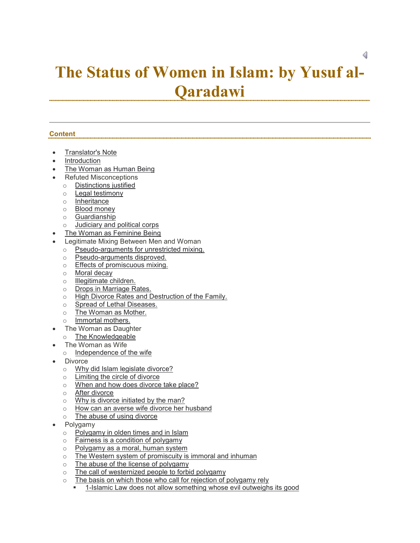# **The Status of Women in Islam: by Yusuf al-Qaradawi**

# **Content**

- Translator's Note
- Introduction
- The Woman as Human Being
- Refuted Misconceptions
	- o Distinctions justified
	- o Legal testimony
	- o Inheritance
	- o Blood money
	- o Guardianship
	- o Judiciary and political corps
	- The Woman as Feminine Being
- Legitimate Mixing Between Men and Woman
	- o Pseudo-arguments for unrestricted mixing.
	- o Pseudo-arguments disproved.
	- o Effects of promiscuous mixing.
	- o Moral decay
	- o Illegitimate children.
	- o Drops in Marriage Rates.
	- o High Divorce Rates and Destruction of the Family.
	- o Spread of Lethal Diseases.
	- o The Woman as Mother.
	- o Immortal mothers.
- The Woman as Daughter
- o The Knowledgeable
- The Woman as Wife
	- o Independence of the wife
- Divorce
	- o Why did Islam legislate divorce?
	- o Limiting the circle of divorce
	- o When and how does divorce take place?
	- o After divorce
	- $\circ$  Why is divorce initiated by the man?<br> $\circ$  How can an averse wife divorce her l
	- $\circ$  How can an averse wife divorce her husband<br>  $\circ$  The abuse of using divorce
	- The abuse of using divorce
- Polygamy
	- o Polygamy in olden times and in Islam
	- $\circ$  Fairness is a condition of polygamy
	- o Polygamy as a moral, human system
	- o The Western system of promiscuity is immoral and inhuman
	- o The abuse of the license of polygamy
	- o The call of westernized people to forbid polygamy
	- $\circ$  The basis on which those who call for rejection of polygamy rely
		- 1-Islamic Law does not allow something whose evil outweighs its good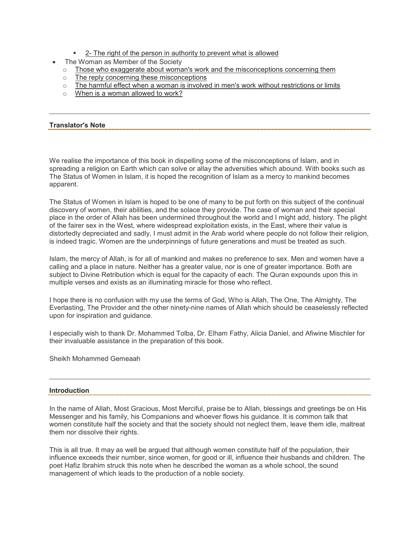- **2** The right of the person in authority to prevent what is allowed
- The Woman as Member of the Society
	- $\circ$  Those who exaggerate about woman's work and the misconceptions concerning them
	- o The reply concerning these misconceptions
	- $\circ$  The harmful effect when a woman is involved in men's work without restrictions or limits
	- o When is a woman allowed to work?

## **Translator's Note**

We realise the importance of this book in dispelling some of the misconceptions of Islam, and in spreading a religion on Earth which can solve or allay the adversities which abound. With books such as The Status of Women in Islam, it is hoped the recognition of Islam as a mercy to mankind becomes apparent.

The Status of Women in Islam is hoped to be one of many to be put forth on this subject of the continual discovery of women, their abilities, and the solace they provide. The case of woman and their special place in the order of Allah has been undermined throughout the world and I might add, history. The plight of the fairer sex in the West, where widespread exploitation exists, in the East, where their value is distortedly depreciated and sadly, I must admit in the Arab world where people do not follow their religion, is indeed tragic. Women are the underpinnings of future generations and must be treated as such.

Islam, the mercy of Allah, is for all of mankind and makes no preference to sex. Men and women have a calling and a place in nature. Neither has a greater value, nor is one of greater importance. Both are subject to Divine Retribution which is equal for the capacity of each. The Quran expounds upon this in multiple verses and exists as an illuminating miracle for those who reflect.

I hope there is no confusion with my use the terms of God, Who is Allah, The One, The Almighty, The Everlasting, The Provider and the other ninety-nine names of Allah which should be ceaselessly reflected upon for inspiration and guidance.

I especially wish to thank Dr. Mohammed Tolba, Dr. Elham Fathy, Alicia Daniel, and Afiwine Mischler for their invaluable assistance in the preparation of this book.

Sheikh Mohammed Gemeaah

## **Introduction**

In the name of Allah, Most Gracious, Most Merciful, praise be to Allah, blessings and greetings be on His Messenger and his family, his Companions and whoever flows his guidance. It is common talk that women constitute half the society and that the society should not neglect them, leave them idle, maltreat them nor dissolve their rights.

This is all true. It may as well be argued that although women constitute half of the population, their influence exceeds their number, since women, for good or ill, influence their husbands and children. The poet Hafiz Ibrahim struck this note when he described the woman as a whole school, the sound management of which leads to the production of a noble society.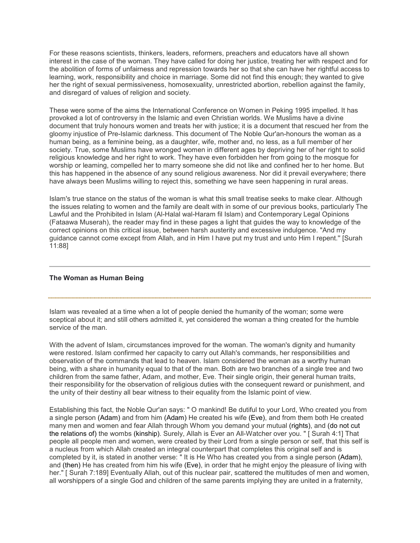For these reasons scientists, thinkers, leaders, reformers, preachers and educators have all shown interest in the case of the woman. They have called for doing her justice, treating her with respect and for the abolition of forms of unfairness and repression towards her so that she can have her rightful access to learning, work, responsibility and choice in marriage. Some did not find this enough; they wanted to give her the right of sexual permissiveness, homosexuality, unrestricted abortion, rebellion against the family, and disregard of values of religion and society.

These were some of the aims the International Conference on Women in Peking 1995 impelled. It has provoked a lot of controversy in the Islamic and even Christian worlds. We Muslims have a divine document that truly honours women and treats her with justice; it is a document that rescued her from the gloomy injustice of Pre-Islamic darkness. This document of The Noble Qur'an-honours the woman as a human being, as a feminine being, as a daughter, wife, mother and, no less, as a full member of her society. True, some Muslims have wronged women in different ages by depriving her of her right to solid religious knowledge and her right to work. They have even forbidden her from going to the mosque for worship or leaming, compelled her to marry someone she did not like and confined her to her home. But this has happened in the absence of any sound religious awareness. Nor did it prevail everywhere; there have always been Muslims willing to reject this, something we have seen happening in rural areas.

Islam's true stance on the status of the woman is what this small treatise seeks to make clear. Although the issues relating to women and the family are dealt with in some of our previous books, particularly The Lawful and the Prohibited in Islam (Al-Halal wal-Haram fil Islam) and Contemporary Legal Opinions (Fataawa Muserah), the reader may find in these pages a light that guides the way to knowledge of the correct opinions on this critical issue, between harsh austerity and excessive indulgence. "And my guidance cannot come except from Allah, and in Him I have put my trust and unto Him I repent.'' [Surah 11:88]

## **The Woman as Human Being**

Islam was revealed at a time when a lot of people denied the humanity of the woman; some were sceptical about it; and still others admitted it, yet considered the woman a thing created for the humble service of the man.

With the advent of Islam, circumstances improved for the woman. The woman's dignity and humanity were restored. Islam confirmed her capacity to carry out Allah's commands, her responsibilities and observation of the commands that lead to heaven. Islam considered the woman as a worthy human being, with a share in humanity equal to that of the man. Both are two branches of a single tree and two children from the same father, Adam, and mother, Eve. Their single origin, their general human traits, their responsibility for the observation of religious duties with the consequent reward or punishment, and the unity of their destiny all bear witness to their equality from the Islamic point of view.

Establishing this fact, the Noble Qur'an says: " O mankind! Be dutiful to your Lord, Who created you from a single person (Adam) and from him (Adam) He created his wife (Eve), and from them both He created many men and women and fear Allah through Whom you demand your mutual (rights), and (do not cut the relations of) the wombs (kinship). Surely, Allah is Ever an All-Watcher over you. " [ Surah 4:1] That people all people men and women, were created by their Lord from a single person or self, that this self is a nucleus from which Allah created an integral counterpart that completes this original self and is completed by it, is stated in another verse: " It is He Who has created you from a single person (Adam), and (then) He has created from him his wife (Eve), in order that he might enjoy the pleasure of living with her." [ Surah 7:189] Eventually Allah, out of this nuclear pair, scattered the multitudes of men and women, all worshippers of a single God and children of the same parents implying they are united in a fraternity,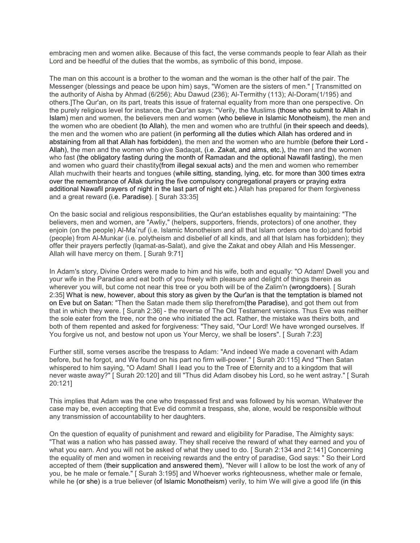embracing men and women alike. Because of this fact, the verse commands people to fear Allah as their Lord and be heedful of the duties that the wombs, as symbolic of this bond, impose.

The man on this account is a brother to the woman and the woman is the other half of the pair. The Messenger (blessings and peace be upon him) says, "Women are the sisters of men." [ Transmitted on the authority of Aisha by Ahmad (6/256); Abu Dawud (236); Al-Termithy (113); Al-Doram(1/195) and others.]The Qur'an, on its part, treats this issue of fraternal equality from more than one perspective. On the purely religious level for instance, the Qur'an says: "Verily, the Muslims (those who submit to Allah in Islam) men and women, the believers men and women (who believe in Islamic Monotheism), the men and the women who are obedient (to Allah), the men and women who are truthful (in their speech and deeds), the men and the women who are patient (in performing all the duties which Allah has ordered and in abstaining from all that Allah has forbidden), the men and the women who are humble (before their Lord - Allah), the men and the women who give Sadaqat, (i.e. Zakat, and alms, etc.), the men and the women who fast (the obligatory fasting during the month of Ramadan and the optional Nawafil fasting), the men and women who guard their chastity(from illegal sexual acts) and the men and women who remember Allah muchwith their hearts and tongues (while sitting, standing, lying, etc. for more than 300 times extra over the remembrance of Allak during the five compulsory congregational prayers or praying extra additional Nawafil prayers of night in the last part of night etc.) Allah has prepared for them forgiveness and a great reward (i.e. Paradise). [ Surah 33:35]

On the basic social and religious responsibilities, the Qur'an establishes equality by maintaining: "The believers, men and women, are "Awliy," (helpers, supporters, friends, protectors) of one another, they enjoin (on the people) Al-Ma`ruf (i.e. Islamic Monotheism and all that Islam orders one to do);and forbid (people) from Al-Munkar (i.e. polytheism and disbelief of all kinds, and all that Islam has forbidden); they offer their prayers perfectly (lqamat-as-Salat), and give the Zakat and obey Allah and His Messenger. Allah will have mercy on them. [ Surah 9:71]

In Adam's story, Divine Orders were made to him and his wife, both and equally: "O Adam! Dwell you and your wife in the Paradise and eat both of you freely with pleasure and delight of things therein as wherever you will, but come not near this tree or you both will be of the Zalim'n (wrongdoers). [ Surah 2:35] What is new, however, about this story as given by the Qur'an is that the temptation is blamed not on Eve but on Satan: "Then the Satan made them slip therefrom(the Paradise), and got them out from that in which they were. [ Surah 2:36] - the reverse of The Old Testament versions. Thus Eve was neither the sole eater from the tree, nor the one who initiated the act. Rather, the mistake was theirs both, and both of them repented and asked for forgiveness: "They said, "Our Lord! We have wronged ourselves. If You forgive us not, and bestow not upon us Your Mercy, we shall be losers". [ Surah 7:23]

Further still, some verses ascribe the trespass to Adam: "And indeed We made a covenant with Adam before, but he forgot, and We found on his part no firm will-power." [ Surah 20:115] And "Then Satan whispered to him saying, "O Adam! Shall I lead you to the Tree of Eternity and to a kingdom that will never waste away?" [ Surah 20:120] and till "Thus did Adam disobey his Lord, so he went astray." [ Surah 20:121]

This implies that Adam was the one who trespassed first and was followed by his woman. Whatever the case may be, even accepting that Eve did commit a trespass, she, alone, would be responsible without any transmission of accountability to her daughters.

On the question of equality of punishment and reward and eligibility for Paradise, The Almighty says: "That was a nation who has passed away. They shall receive the reward of what they earned and you of what you earn. And you will not be asked of what they used to do. [ Surah 2:134 and 2:141] Concerning the equality of men and women in receiving rewards and the entry of paradise, God says: " So their Lord accepted of them (their supplication and answered them), "Never will I allow to be lost the work of any of you, be he male or female." [ Surah 3:195] and Whoever works righteousness, whether male or female, while he (or she) is a true believer (of Islamic Monotheism) verily, to him We will give a good life (in this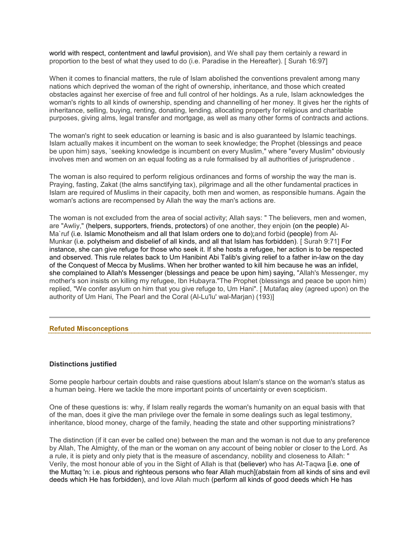world with respect, contentment and lawful provision), and We shall pay them certainly a reward in proportion to the best of what they used to do (i.e. Paradise in the Hereafter). [ Surah 16:97]

When it comes to financial matters, the rule of Islam abolished the conventions prevalent among many nations which deprived the woman of the right of ownership, inheritance, and those which created obstacles against her exercise of free and full control of her holdings. As a rule, Islam acknowledges the woman's rights to all kinds of ownership, spending and channelling of her money. It gives her the rights of inheritance, selling, buying, renting, donating, lending, allocating property for religious and charitable purposes, giving alms, legal transfer and mortgage, as well as many other forms of contracts and actions.

The woman's right to seek education or learning is basic and is also guaranteed by Islamic teachings. Islam actualIy makes it incumbent on the woman to seek knowledge; the Prophet (blessings and peace be upon him) says, `seeking knowledge is incumbent on every Muslim," where "every Muslim" obviously involves men and women on an equal footing as a rule formalised by all authorities of jurisprudence .

The woman is also required to perform religious ordinances and forms of worship the way the man is. Praying, fasting, Zakat (the alms sanctifying tax), pilgrimage and all the other fundamental practices in Islam are required of Muslims in their capacity, both men and women, as responsible humans. Again the woman's actions are recompensed by Allah the way the man's actions are.

The woman is not excluded from the area of social activity; Allah says: " The believers, men and women, are "Awliy," (helpers, supporters, friends, protectors) of one another, they enjoin (on the people) Al-Ma`ruf (i.e. Islamic Monotheism and all that Islam orders one to do);and forbid (people) from Al-Munkar (i.e. polytheism and disbelief of all kinds, and all that Islam has forbidden). [ Surah 9:71] For instance, she can give refuge for those who seek it. If she hosts a refugee, her action is to be respected and observed. This rule relates back to Um Hanibint Abi Talib's giving relief to a father in-law on the day of the Conquest of Mecca by Muslims. When her brother wanted to kill him because he was an infidel, she complained to Allah's Messenger (blessings and peace be upon him) saying, "Allah's Messenger, my mother's son insists on killing my refugee, Ibn Hubayra."The Prophet (blessings and peace be upon him) replied, "We confer asylum on him that you give refuge to, Um Hani". [ Mutafaq aley (agreed upon) on the authority of Um Hani, The Pearl and the Coral (Al-Lu'lu' wal-Marjan) (193)]

#### **Refuted Misconceptions**

## **Distinctions justified**

Some people harbour certain doubts and raise questions about Islam's stance on the woman's status as a human being. Here we tackle the more important points of uncertainty or even scepticism.

One of these questions is: why, if Islam really regards the woman's humanity on an equal basis with that of the man, does it give the man privilege over the female in some dealings such as legal testimony, inheritance, blood money, charge of the family, heading the state and other supporting ministrations?

The distinction (if it can ever be called one) between the man and the woman is not due to any preference by Allah, The Almighty, of the man or the woman on any account of being nobler or closer to the Lord. As a rule, it is piety and only piety that is the measure of ascendancy, nobility and closeness to Allah: " Verily, the most honour able of you in the Sight of Allah is that (believer) who has At-Taqwa [i.e. one of the Muttaq 'n: i.e. pious and righteous persons who fear Allah much](abstain from all kinds of sins and evil deeds which He has forbidden), and love Allah much (perform all kinds of good deeds which He has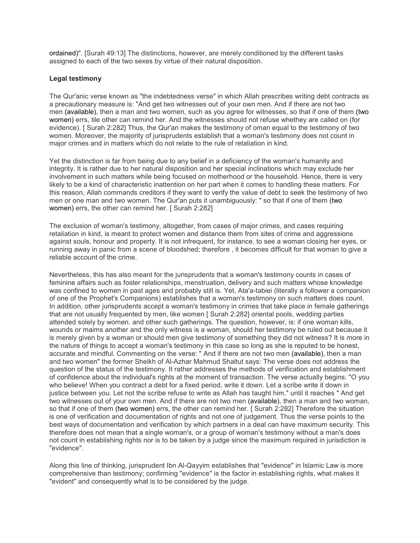ordained)". [Surah 49:13] The distinctions, however, are merely conditioned by the different tasks assigned to each of the two sexes by virtue of their natural disposition.

## **Legal testimony**

The Qur'anic verse known as "the indebtedness verse" in which Allah prescribes writing debt contracts as a precautionary measure is: "And get two witnesses out of your own men. And if there are not two men (available), then a man and two women, such as you agree for witnesses, so that if one of them (two women) errs, tile other can remind her. And the witnesses should not refuse whethey are called on (for evidence). [ Surah 2:282] Thus, the Qur'an makes the testimony of oman equal to the testimony of two women. Moreover, the majority of jurisprudents establish that a woman's testimony does not count in major crimes and in matters which do not relate to the rule of retaliation in kind.

Yet the distinction is far from being due to any belief in a deficiency of the woman's humanity and integrity. It is rather due to her natural disposition and her special inclinations which may exclude her involvement in such matters while being focused on motherhood or the household. Hence, there is very likely to be a kind of characteristic inattention on her part when it comes to handling these matters. For this reason, Allah commands creditors if they want to verify the value of debt to seek the testimony of two men or one man and two women. The Qur'an puts it unambiguously: " so that if one of them (two women) errs, the other can remind her. [ Surah 2:282]

The exclusion of woman's testimony, altogether, from cases of major crimes, and cases requiring retaliation in kind, is meant to protect women and distance them from sites of crime and aggressions against souls, honour and property. It is not infrequent, for instance, to see a woman closing her eyes, or running away in panic from a scene of bloodshed; therefore , it becomes difficult for that woman to give a reliable account of the crime.

Nevertheless, this has also meant for the jurisprudents that a woman's testimony counts in cases of feminine affairs such as foster relationships, menstruation, delivery and such matters whose knowledge was confined to women in past ages and probably still is. Yet, Ata'a-tabiei (literally a follower a companion of one of the Prophet's Companions) establishes that a woman's testimony on such matters does count. In addition, other jurisprudents accept a woman's testimony in crimes that take place in female gatherings that are not usually frequented by men, like women [ Surah 2:282] oriental pools, wedding parties attended solely by women, and other such gatherings. The question, however, is: if one woman kills, wounds or maims another and the only witness is a woman, should her testimony be ruled out because it is merely given by a woman or should men give testimony of something they did not witness? It is more in the nature of things to accept a woman's testimony in this case so long as she is reputed to be honest, accurate and mindful. Commenting on the verse: " And if there are not two men (available), then a man and two women" the former Sheikh of Al-Azhar Mahmud Shaltut says: The verse does not address the question of the status of the testimony. It rather addresses the methods of verification and establishment of confidence about the individual's rights at the moment of transaction. The verse actually begins: "O you who believe! When you contract a debt for a fixed period, write it down. Let a scribe write it down in justice between you. Let not the scribe refuse to write as Allah has taught him," until it reaches " And get two witnesses out of your own men. And if there are not two men (available), then a man and two woman, so that if one of them (two women) errs, the other can remind her. [ Surah 2:282] Therefore the situation is one of verification and documentation of rights and not one of judgement. Thus the verse points to the best ways of documentation and verification by which partners in a deal can have maximum security. This therefore does not mean that a single woman's, or a group of woman's testimony without a man's does not count in establishing rights nor is to be taken by a judge since the maximum required in jurisdiction is "evidence".

Along this line of thinking, jurisprudent Ibn Al-Qayyim establishes that "evidence" in Islamic Law is more comprehensive than testimony; confirming "evidence" is the factor in establishing rights, what makes it "evident" and consequently what is to be considered by the judge.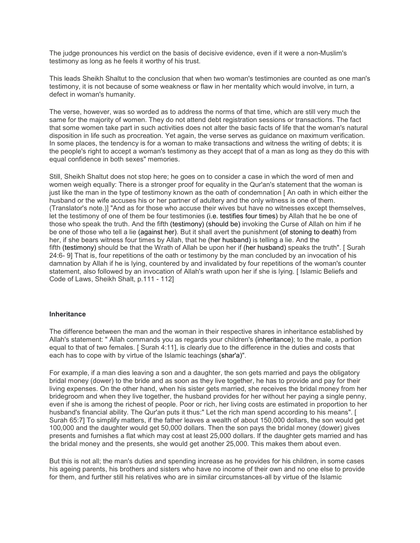The judge pronounces his verdict on the basis of decisive evidence, even if it were a non-Muslim's testimony as long as he feels it worthy of his trust.

This leads Sheikh Shaltut to the conclusion that when two woman's testimonies are counted as one man's testimony, it is not because of some weakness or flaw in her mentality which would involve, in turn, a defect in woman's humanity.

The verse, however, was so worded as to address the norms of that time, which are still very much the same for the majority of women. They do not attend debt registration sessions or transactions. The fact that some women take part in such activities does not alter the basic facts of life that the woman's natural disposition in life such as procreation. Yet again, the verse serves as guidance on maximum verification. In some places, the tendency is for a woman to make transactions and witness the writing of debts; it is the people's right to accept a woman's testimony as they accept that of a man as long as they do this with equal confidence in both sexes" memories.

Still, Sheikh Shaltut does not stop here; he goes on to consider a case in which the word of men and women weigh equally: There is a stronger proof for equality in the Qur'an's statement that the woman is just like the man in the type of testimony known as the oath of condemnation [ An oath in which either the husband or the wife accuses his or her partner of adultery and the only witness is one of them. (Translator's note.)] "And as for those who accuse their wives but have no witnesses except themselves, let the testimony of one of them be four testimonies (i.e. testifies four times) by Allah that he be one of those who speak the truth. And the fifth (testimony) (should be) invoking the Curse of Allah on him if he be one of those who tell a lie (against her). But it shall avert the punishment (of stoning to death) from her, if she bears witness four times by Allah, that he (her husband) is telling a lie. And the fifth (testimony) should be that the Wrath of Allah be upon her if (her husband) speaks the truth". [ Surah 24:6- 9] That is, four repetitions of the oath or testimony by the man concluded by an invocation of his damnation by Allah if he is lying, countered by and invalidated by four repetitions of the woman's counter statement, also followed by an invocation of Allah's wrath upon her if she is lying. [ Islamic Beliefs and Code of Laws, Sheikh Shalt, p.111 - 112]

## **Inheritance**

The difference between the man and the woman in their respective shares in inheritance established by Allah's statement: " Allah commands you as regards your children's (inheritance); to the male, a portion equal to that of two females. [ Surah 4:11], is clearly due to the difference in the duties and costs that each has to cope with by virtue of the Islamic teachings (shar'a)".

For example, if a man dies leaving a son and a daughter, the son gets married and pays the obligatory bridal money (dower) to the bride and as soon as they live together, he has to provide and pay for their living expenses. On the other hand, when his sister gets married, she receives the bridal money from her bridegroom and when they live together, the husband provides for her without her paying a single penny, even if she is among the richest of people. Poor or rich, her living costs are estimated in proportion to her husband's financial ability. The Qur'an puts it thus:" Let the rich man spend according to his means". [ Surah 65:7] To simplify matters, if the father leaves a wealth of about 150,000 dollars, the son would get 100,000 and the daughter would get 50,000 dollars. Then the son pays the bridal money (dower) gives presents and furnishes a flat which may cost at least 25,000 dollars. If the daughter gets married and has the bridal money and the presents, she would get another 25,000. This makes them about even.

But this is not all; the man's duties and spending increase as he provides for his children, in some cases his ageing parents, his brothers and sisters who have no income of their own and no one else to provide for them, and further still his relatives who are in similar circumstances-all by virtue of the Islamic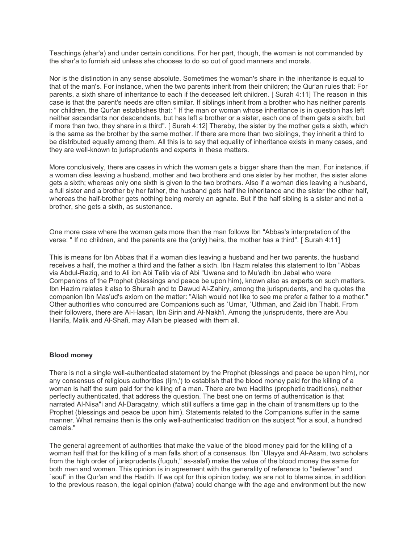Teachings (shar'a) and under certain conditions. For her part, though, the woman is not commanded by the shar'a to furnish aid unless she chooses to do so out of good manners and morals.

Nor is the distinction in any sense absolute. Sometimes the woman's share in the inheritance is equal to that of the man's. For instance, when the two parents inherit from their children; the Qur'an rules that: For parents, a sixth share of inheritance to each if the deceased left children. [ Surah 4:11] The reason in this case is that the parent's needs are often similar. If siblings inherit from a brother who has neither parents nor children, the Qur'an establishes that: " If the man or woman whose inheritance is in question has left neither ascendants nor descendants, but has left a brother or a sister, each one of them gets a sixth; but if more than two, they share in a third". [ Surah 4:12] Thereby, the sister by the mother gets a sixth, which is the same as the brother by the same mother. If there are more than two siblings, they inherit a third to be distributed equally among them. All this is to say that equality of inheritance exists in many cases, and they are well-known to jurisprudents and experts in these matters.

More conclusively, there are cases in which the woman gets a bigger share than the man. For instance, if a woman dies leaving a husband, mother and two brothers and one sister by her mother, the sister alone gets a sixth; whereas only one sixth is given to the two brothers. Also if a woman dies leaving a husband, a full sister and a brother by her father, the husband gets half the inheritance and the sister the other half, whereas the half-brother gets nothing being merely an agnate. But if the half sibling is a sister and not a brother, she gets a sixth, as sustenance.

One more case where the woman gets more than the man follows Ibn "Abbas's interpretation of the verse: " If no children, and the parents are the (only) heirs, the mother has a third". [ Surah 4:11]

This is means for Ibn Abbas that if a woman dies leaving a husband and her two parents, the husband receives a half, the mother a third and the father a sixth. Ibn Hazm relates this statement to Ibn "Abbas via Abdul-Raziq, and to Ali ibn Abi Talib via of Abi "Uwana and to Mu'adh ibn Jabal who were Companions of the Prophet (blessings and peace be upon him), known also as experts on such matters. Ibn Hazim relates it also to Shuraih and to Dawud Al-Zahiry, among the jurisprudents, and he quotes the companion Ibn Mas'ud's axiom on the matter: "Allah would not like to see me prefer a father to a mother." Other authorities who concurred are Companions such as `Umar, `Uthman, and Zaid ibn Thabit. From their followers, there are Al-Hasan, Ibn Sirin and Al-Nakh'i. Among the jurisprudents, there are Abu Hanifa, Malik and Al-Shafi, may Allah be pleased with them all.

#### **Blood money**

There is not a single well-authenticated statement by the Prophet (blessings and peace be upon him), nor any consensus of religious authorities (Ijm,') to establish that the blood money paid for the killing of a woman is half the sum paid for the killing of a man. There are two Hadiths (prophetic traditions), neither perfectly authenticated, that address the question. The best one on terms of authentication is that narrated Al-Nisa"i and Al-Daraqatny, which still suffers a time gap in the chain of transmitters up to the Prophet (blessings and peace be upon him). Statements related to the Companions suffer in the same manner. What remains then is the only well-authenticated tradition on the subject "for a soul, a hundred camels."

The general agreement of authorities that make the value of the blood money paid for the killing of a woman half that for the killing of a man falls short of a consensus. Ibn `UIayya and Al-Asam, two scholars from the high order of jurisprudents (fuquh," as-salaf) make the value of the blood money the same for both men and women. This opinion is in agreement with the generality of reference to "believer" and `soul" in the Qur'an and the Hadith. If we opt for this opinion today, we are not to blame since, in addition to the previous reason, the legal opinion (fatwa) could change with the age and environment but the new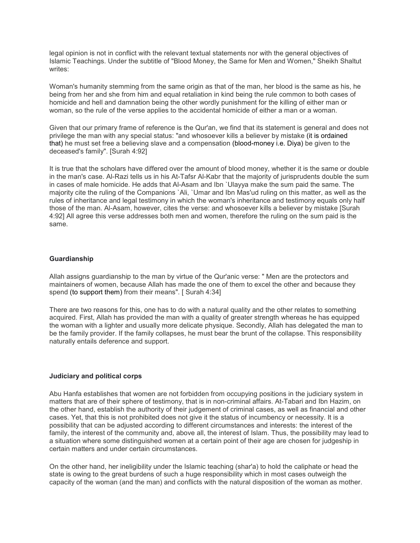legal opinion is not in conflict with the relevant textual statements nor with the general objectives of Islamic Teachings. Under the subtitle of "Blood Money, the Same for Men and Women," Sheikh Shaltut writes:

Woman's humanity stemming from the same origin as that of the man, her blood is the same as his, he being from her and she from him and equal retaliation in kind being the rule common to both cases of homicide and hell and damnation being the other wordly punishment for the killing of either man or woman, so the rule of the verse applies to the accidental homicide of either a man or a woman.

Given that our primary frame of reference is the Qur'an, we find that its statement is general and does not privilege the man with any special status: "and whosoever kills a believer by mistake (it is ordained that) he must set free a believing slave and a compensation (blood-money i.e. Diya) be given to the deceased's family". [Surah 4:92]

It is true that the scholars have differed over the amount of blood money, whether it is the same or double in the man's case. Al-Razi tells us in his At-Tafsr Al-Kabr that the majority of jurisprudents double the sum in cases of male homicide. He adds that Al-Asam and Ibn `Ulayya make the sum paid the same. The majority cite the ruling of the Companions `Ali, `Umar and Ibn Mas'ud ruling on this matter, as well as the rules of inheritance and legal testimony in which the woman's inheritance and testimony equals only half those of the man. Al-Asam, however, cites the verse: and whosoever kills a believer by mistake [Surah 4:92] All agree this verse addresses both men and women, therefore the ruling on the sum paid is the same.

## **Guardianship**

Allah assigns guardianship to the man by virtue of the Qur'anic verse: " Men are the protectors and maintainers of women, because Allah has made the one of them to excel the other and because they spend (to support them) from their means". [ Surah 4:34]

There are two reasons for this, one has to do with a natural quality and the other relates to something acquired. First, Allah has provided the man with a quality of greater strength whereas he has equipped the woman with a lighter and usually more delicate physique. Secondly, Allah has delegated the man to be the family provider. If the family collapses, he must bear the brunt of the collapse. This responsibility naturally entails deference and support.

#### **Judiciary and political corps**

Abu Hanfa establishes that women are not forbidden from occupying positions in the judiciary system in matters that are of their sphere of testimony, that is in non-criminal affairs. At-Tabari and Ibn Hazim, on the other hand, establish the authority of their judgement of criminal cases, as well as financial and other cases. Yet, that this is not prohibited does not give it the status of incumbency or necessity. It is a possibility that can be adjusted according to different circumstances and interests: the interest of the family, the interest of the community and, above all, the interest of Islam. Thus, the possibility may lead to a situation where some distinguished women at a certain point of their age are chosen for judgeship in certain matters and under certain circumstances.

On the other hand, her ineligibility under the Islamic teaching (shar'a) to hold the caliphate or head the state is owing to the great burdens of such a huge responsibility which in most cases outweigh the capacity of the woman (and the man) and conflicts with the natural disposition of the woman as mother.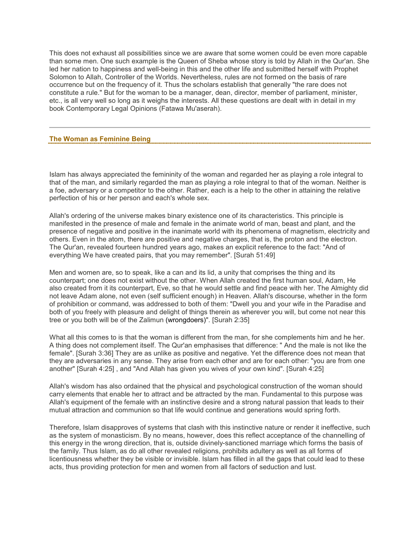This does not exhaust all possibilities since we are aware that some women could be even more capable than some men. One such example is the Queen of Sheba whose story is told by Allah in the Qur'an. She led her nation to happiness and well-being in this and the other life and submitted herself with Prophet Solomon to Allah, Controller of the Worlds. Nevertheless, rules are not formed on the basis of rare occurrence but on the frequency of it. Thus the scholars establish that generally "the rare does not constitute a rule." But for the woman to be a manager, dean, director, member of parliament, minister, etc., is all very well so long as it weighs the interests. All these questions are dealt with in detail in my book Contemporary Legal Opinions (Fatawa Mu'aserah).

## **The Woman as Feminine Being**

Islam has always appreciated the femininity of the woman and regarded her as playing a role integral to that of the man, and similarly regarded the man as playing a role integral to that of the woman. Neither is a foe, adversary or a competitor to the other. Rather, each is a help to the other in attaining the relative perfection of his or her person and each's whole sex.

Allah's ordering of the universe makes binary existence one of its characteristics. This principle is manifested in the presence of male and female in the animate world of man, beast and plant, and the presence of negative and positive in the inanimate world with its phenomena of magnetism, electricity and others. Even in the atom, there are positive and negative charges, that is, the proton and the electron. The Qur'an, revealed fourteen hundred years ago, makes an explicit reference to the fact: "And of everything We have created pairs, that you may remember". [Surah 51:49]

Men and women are, so to speak, like a can and its lid, a unity that comprises the thing and its counterpart; one does not exist without the other. When Allah created the first human soul, Adam, He also created from it its counterpart, Eve, so that he would settle and find peace with her. The Almighty did not leave Adam alone, not even (self sufficient enough) in Heaven. Allah's discourse, whether in the form of prohibition or command, was addressed to both of them: "Dwell you and your wife in the Paradise and both of you freely with pleasure and delight of things therein as wherever you will, but come not near this tree or you both will be of the Zalimun (wrongdoers)". [Surah 2:35]

What all this comes to is that the woman is different from the man, for she complements him and he her. A thing does not complement itself. The Qur'an emphasises that difference: " And the male is not like the female". [Surah 3:36] They are as unlike as positive and negative. Yet the difference does not mean that they are adversaries in any sense. They arise from each other and are for each other: "you are from one another" [Surah 4:25] , and "And Allah has given you wives of your own kind". [Surah 4:25]

Allah's wisdom has also ordained that the physical and psychological construction of the woman should carry elements that enable her to attract and be attracted by the man. Fundamental to this purpose was Allah's equipment of the female with an instinctive desire and a strong natural passion that leads to their mutual attraction and communion so that life would continue and generations would spring forth.

Therefore, Islam disapproves of systems that clash with this instinctive nature or render it ineffective, such as the system of monasticism. By no means, however, does this reflect acceptance of the channelling of this energy in the wrong direction, that is, outside divinely-sanctioned marriage which forms the basis of the family. Thus Islam, as do all other revealed religions, prohibits adultery as well as all forms of licentiousness whether they be visible or invisible. Islam has filled in all the gaps that could lead to these acts, thus providing protection for men and women from all factors of seduction and lust.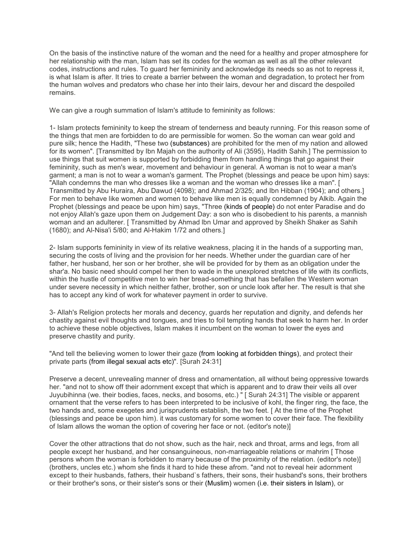On the basis of the instinctive nature of the woman and the need for a healthy and proper atmosphere for her relationship with the man, Islam has set its codes for the woman as well as all the other relevant codes, instructions and rules. To guard her femininity and acknowledge its needs so as not to repress it, is what Islam is after. It tries to create a barrier between the woman and degradation, to protect her from the human wolves and predators who chase her into their lairs, devour her and discard the despoiled remains.

We can give a rough summation of Islam's attitude to femininity as follows:

1- Islam protects femininity to keep the stream of tenderness and beauty running. For this reason some of the things that men are forbidden to do are permissible for women. So the woman can wear gold and pure silk; hence the Hadith, "These two (substances) are prohibited for the men of my nation and allowed for its women". [Transmitted by Ibn Majah on the authority of Ali (3595), Hadith Sahih.] The permission to use things that suit women is supported by forbidding them from handling things that go against their femininity, such as men's wear, movement and behaviour in general. A woman is not to wear a man's garment; a man is not to wear a woman's garment. The Prophet (blessings and peace be upon him) says: "Allah condemns the man who dresses like a woman and the woman who dresses like a man". [ Transmitted by Abu Huraira, Abu Dawud (4098); and Ahmad 2/325; and Ibn Hibban (1904); and others.] For men to behave like women and women to behave like men is equally condemned by Alkib. Again the Prophet (blessings and peace be upon him) says, "Three (kinds of people) do not enter Paradise and do not enjoy Allah's gaze upon them on Judgement Day: a son who is disobedient to his parents, a mannish woman and an adulterer. [ Transmitted by Ahmad lbn Umar and approved by Sheikh Shaker as Sahih (1680); and Al-Nisa'i 5/80; and Al-Hakim 1/72 and others.]

2- Islam supports femininity in view of its relative weakness, placing it in the hands of a supporting man, securing the costs of living and the provision for her needs. Whether under the guardian care of her father, her husband, her son or her brother, she will be provided for by them as an obligation under the shar'a. No basic need should compel her then to wade in the unexplored stretches of life with its conflicts, within the hustle of competitive men to win her bread-something that has befallen the Western woman under severe necessity in which neither father, brother, son or uncle look after her. The result is that she has to accept any kind of work for whatever payment in order to survive.

3- Allah's Religion protects her morals and decency, guards her reputation and dignity, and defends her chastity against evil thoughts and tongues, and tries to foil tempting hands that seek to harm her. In order to achieve these noble objectives, Islam makes it incumbent on the woman to lower the eyes and preserve chastity and purity.

"And tell the believing women to lower their gaze (from looking at forbidden things), and protect their private parts (from illegal sexual acts etc)". [Surah 24:31]

Preserve a decent, unrevealing manner of dress and ornamentation, all without being oppressive towards her. "and not to show off their adornment except that which is apparent and to draw their veils all over Juyubihinna (we. their bodies, faces, necks, and bosoms, etc.) " [ Surah 24:31] The visible or apparent ornament that the verse refers to has been interpreted to be inclusive of kohl, the finger ring, the face, the two hands and, some exegetes and jurisprudents establish, the two feet. [ At the time of the Prophet (blessings and peace be upon him). it was customary for some women to cover their face. The flexibility of Islam allows the woman the option of covering her face or not. (editor's note)]

Cover the other attractions that do not show, such as the hair, neck and throat, arms and legs, from all people except her husband, and her consanguineous, non-marriageable relations or mahrim [ Those persons whom the woman is forbidden to marry because of the proximity of the relation. (editor's note)] (brothers, uncles etc.) whom she finds it hard to hide these afrom. "and not to reveal heir adornment except to their husbands, fathers, their husband`s fathers, their sons, their husband's sons, their brothers or their brother's sons, or their sister's sons or their (Muslim) women (i.e. their sisters in Islam), or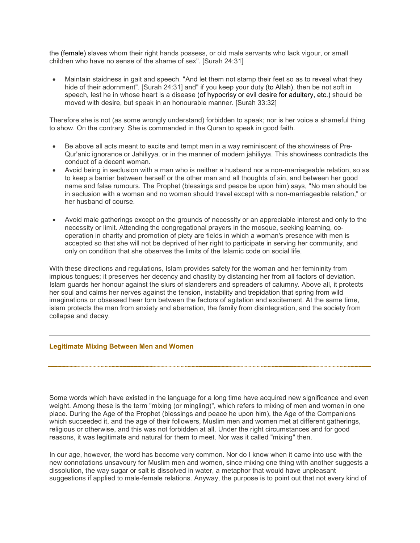the (female) slaves whom their right hands possess, or old male servants who lack vigour, or small children who have no sense of the shame of sex". [Surah 24:31]

• Maintain staidness in gait and speech. "And let them not stamp their feet so as to reveal what they hide of their adornment". [Surah 24:31] and" if you keep your duty (to Allah), then be not soft in speech, lest he in whose heart is a disease (of hypocrisy or evil desire for adultery, etc.) should be moved with desire, but speak in an honourable manner. [Surah 33:32]

Therefore she is not (as some wrongly understand) forbidden to speak; nor is her voice a shameful thing to show. On the contrary. She is commanded in the Quran to speak in good faith.

- Be above all acts meant to excite and tempt men in a way reminiscent of the showiness of Pre-Qur'anic ignorance or Jahiliyya. or in the manner of modern jahiliyya. This showiness contradicts the conduct of a decent woman.
- Avoid being in seclusion with a man who is neither a husband nor a non-marriageable relation, so as to keep a barrier between herself or the other man and all thoughts of sin, and between her good name and false rumours. The Prophet (blessings and peace be upon him) says, "No man should be in seclusion with a woman and no woman should travel except with a non-marriageable relation," or her husband of course.
- Avoid male gatherings except on the grounds of necessity or an appreciable interest and only to the necessity or limit. Attending the congregational prayers in the mosque, seeking learning, cooperation in charity and promotion of piety are fields in which a woman's presence with men is accepted so that she will not be deprived of her right to participate in serving her community, and only on condition that she observes the limits of the Islamic code on social life.

With these directions and regulations, Islam provides safety for the woman and her femininity from impious tongues; it preserves her decency and chastity by distancing her from all factors of deviation. Islam guards her honour against the slurs of slanderers and spreaders of calumny. Above all, it protects her soul and calms her nerves against the tension, instability and trepidation that spring from wild imaginations or obsessed hear torn between the factors of agitation and excitement. At the same time, islam protects the man from anxiety and aberration, the family from disintegration, and the society from collapse and decay.

## **Legitimate Mixing Between Men and Women**

Some words which have existed in the language for a long time have acquired new significance and even weight. Among these is the term "mixing (or mingling)", which refers to mixing of men and women in one place. During the Age of the Prophet (blessings and peace he upon him), the Age of the Companions which succeeded it, and the age of their followers, Muslim men and women met at different gatherings, religious or otherwise, and this was not forbidden at all. Under the right circumstances and for good reasons, it was legitimate and natural for them to meet. Nor was it called "mixing" then.

In our age, however, the word has become very common. Nor do I know when it came into use with the new connotations unsavoury for Muslim men and women, since mixing one thing with another suggests a dissolution, the way sugar or salt is dissolved in water, a metaphor that would have unpleasant suggestions if applied to male-female relations. Anyway, the purpose is to point out that not every kind of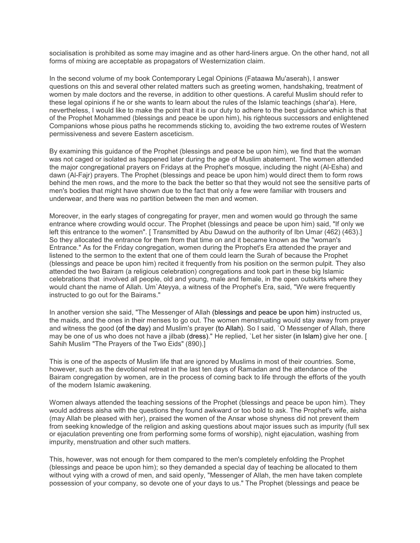socialisation is prohibited as some may imagine and as other hard-liners argue. On the other hand, not all forms of mixing are acceptable as propagators of Westernization claim.

In the second volume of my book Contemporary Legal Opinions (Fataawa Mu'aserah), I answer questions on this and several other related matters such as greeting women, handshaking, treatment of women by male doctors and the reverse, in addition to other questions. A careful Muslim should refer to these legal opinions if he or she wants to learn about the rules of the Islamic teachings (shar'a). Here, nevertheless, I would like to make the point that it is our duty to adhere to the best guidance which is that of the Prophet Mohammed (blessings and peace be upon him), his righteous successors and enlightened Companions whose pious paths he recommends sticking to, avoiding the two extreme routes of Western permissiveness and severe Eastern asceticism.

By examining this guidance of the Prophet (blessings and peace be upon him), we find that the woman was not caged or isolated as happened later during the age of Muslim abatement. The women attended the major congregational prayers on Fridays at the Prophet's mosque, including the night (Al-Esha) and dawn (Al-Fajr) prayers. The Prophet (blessings and peace be upon him) would direct them to form rows behind the men rows, and the more to the back the better so that they would not see the sensitive parts of men's bodies that might have shown due to the fact that only a few were familiar with trousers and underwear, and there was no partition between the men and women.

Moreover, in the early stages of congregating for prayer, men and women would go through the same entrance where crowding would occur. The Prophet (blessings and peace be upon him) said, "If only we left this entrance to the women". [ Transmitted by Abu Dawud on the authority of Ibn Umar (462) (463).] So they allocated the entrance for them from that time on and it became known as the "woman's Entrance." As for the Friday congregation, women during the Prophet's Era attended the prayer and listened to the sermon to the extent that one of them could learn the Surah of because the Prophet (blessings and peace be upon him) recited it frequently from his position on the sermon pulpit. They also attended the two Bairam (a religious celebration) congregations and took part in these big Islamic celebrations that involved all people, old and young, male and female, in the open outskirts where they would chant the name of Allah. Um`Ateyya, a witness of the Prophet's Era, said, "We were frequently instructed to go out for the Bairams."

In another version she said, "The Messenger of Allah (blessings and peace be upon him) instructed us, the maids, and the ones in their menses to go out. The women menstruating would stay away from prayer and witness the good (of the day) and Muslim's prayer (to Allah). So I said, `O Messenger of Allah, there may be one of us who does not have a jilbab (dress)." He replied, `Let her sister (in Islam) give her one. [ Sahih Muslim "The Prayers of the Two Eids" (890).]

This is one of the aspects of Muslim life that are ignored by Muslims in most of their countries. Some, however, such as the devotional retreat in the last ten days of Ramadan and the attendance of the Bairam congregation by women, are in the process of coming back to life through the efforts of the youth of the modern Islamic awakening.

Women always attended the teaching sessions of the Prophet (blessings and peace be upon him). They would address aisha with the questions they found awkward or too bold to ask. The Prophet's wife, aisha (may Allah be pleased with her), praised the women of the Ansar whose shyness did not prevent them from seeking knowledge of the religion and asking questions about major issues such as impurity (full sex or ejaculation preventing one from performing some forms of worship), night ejaculation, washing from impurity, menstruation and other such matters.

This, however, was not enough for them compared to the men's completely enfolding the Prophet (blessings and peace be upon him); so they demanded a special day of teaching be allocated to them without vying with a crowd of men, and said openly, "Messenger of Allah, the men have taken complete possession of your company, so devote one of your days to us." The Prophet (blessings and peace be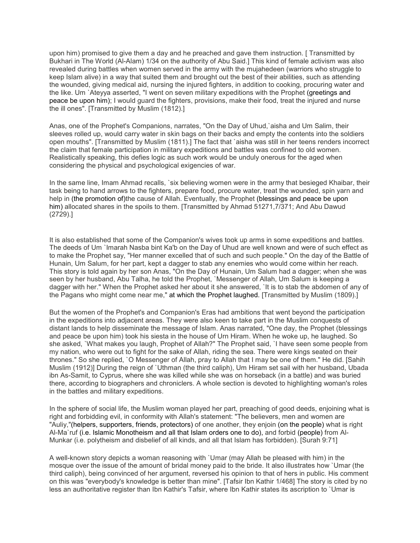upon him) promised to give them a day and he preached and gave them instruction. [ Transmitted by Bukhari in The World (Al-Alam) 1/34 on the authority of Abu Said.] This kind of female activism was also revealed during battles when women served in the army with the mujahedeen (warriors who struggle to keep Islam alive) in a way that suited them and brought out the best of their abilities, such as attending the wounded, giving medical aid, nursing the injured fighters, in addition to cooking, procuring water and the like. Um `Ateyya asserted, "I went on seven military expeditions with the Prophet (greetings and peace be upon him); I would guard the fighters, provisions, make their food, treat the injured and nurse the ill ones". [Transmitted by Muslim (1812).]

Anas, one of the Prophet's Companions, narrates, "On the Day of Uhud,`aisha and Um Salim, their sleeves rolled up, would carry water in skin bags on their backs and empty the contents into the soldiers open mouths". [Transmitted by Muslim (1811).] The fact that `aisha was still in her teens renders incorrect the claim that female participation in military expeditions and battles was confined to old women. Realistically speaking, this defies logic as such work would be unduly onerous for the aged when considering the physical and psychological exigencies of war.

In the same line, Imam Ahmad recalls, `six believing women were in the army that besieged Khaibar, their task being to hand arrows to the fighters, prepare food, procure water, treat the wounded, spin yarn and help in (the promotion of)the cause of Allah. Eventually, the Prophet (blessings and peace be upon him) allocated shares in the spoils to them. [Transmitted by Ahmad 51271,7/371; And Abu Dawud (2729).]

It is also established that some of the Companion's wives took up arms in some expeditions and battles. The deeds of Um `Imarah Nasba bint Ka'b on the Day of Uhud are well known and were of such effect as to make the Prophet say, "Her manner excelled that of such and such people." On the day of the Battle of Hunain, Um Salum, for her part, kept a dagger to stab any enemies who would come within her reach. This story is told again by her son Anas, "On the Day of Hunain, Um Salum had a dagger; when she was seen by her husband, Abu Talha, he told the Prophet, `Messenger of Allah, Um Salum is keeping a dagger with her." When the Prophet asked her about it she answered, `It is to stab the abdomen of any of the Pagans who might come near me," at which the Prophet laughed. [Transmitted by Muslim (1809).]

But the women of the Prophet's and Companion's Eras had ambitions that went beyond the participation in the expeditions into adjacent areas. They were also keen to take part in the Muslim conquests of distant lands to help disseminate the message of Islam. Anas narrated, "One day, the Prophet (blessings and peace be upon him) took his siesta in the house of Urn Hiram. When he woke up, he laughed. So she asked, `What makes you laugh, Prophet of Allah?" The Prophet said, `I have seen some people from my nation, who were out to fight for the sake of Allah, riding the sea. There were kings seated on their thrones." So she replied, `O Messenger of Allah, pray to Allah that I may be one of them." He did. [Sahih Muslim (1912)] During the reign of `Uthman (the third caliph), Um Hiram set sail with her husband, Ubada ibn As-Samit, to Cyprus, where she was killed while she was on horseback (in a battle) and was buried there, according to biographers and chroniclers. A whole section is devoted to highlighting woman's roles in the battles and military expeditions.

In the sphere of social life, the Muslim woman played her part, preaching of good deeds, enjoining what is right and forbidding evil, in conformity with Allah's statement: "The believers, men and women are "Auliy,"(helpers, supporters, friends, protectors) of one another, they enjoin (on the people) what is right Al-Ma`ruf (i.e. Islamic Monotheism and all that Islam orders one to do), and forbid (people) from Al-Munkar (i.e. polytheism and disbelief of all kinds, and all that Islam has forbidden). [Surah 9:71]

A well-known story depicts a woman reasoning with `Umar (may Allah be pleased with him) in the mosque over the issue of the amount of bridal money paid to the bride. It also illustrates how `Umar (the third caliph), being convinced of her argument, reversed his opinion to that of hers in public. His comment on this was "everybody's knowledge is better than mine". [Tafsir Ibn Kathir 1/468] The story is cited by no less an authoritative register than Ibn Kathir's Tafsir, where Ibn Kathir states its ascription to `Umar is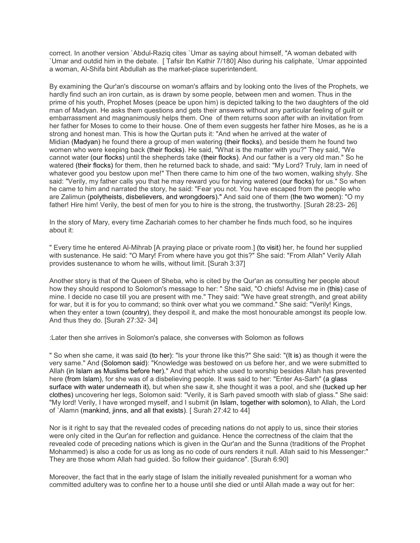correct. In another version `Abdul-Raziq cites `Umar as saying about himself, "A woman debated with `Umar and outdid him in the debate. [ Tafsir Ibn Kathir 7/180] Also during his caliphate, `Umar appointed a woman, Al-Shifa bint Abdullah as the market-place superintendent.

By examining the Qur'an's discourse on woman's affairs and by looking onto the lives of the Prophets, we hardly find such an iron curtain, as is drawn by some people, between men and women. Thus in the prime of his youth, Prophet Moses (peace be upon him) is depicted talking to the two daughters of the old man of Madyan. He asks them questions and gets their answers without any particular feeling of guilt or embarrassment and magnanimously helps them. One of them returns soon after with an invitation from her father for Moses to come to their house. One of them even suggests her father hire Moses, as he is a strong and honest man. This is how the Qurtan puts it: "And when he arrived at the water of Midian (Madyan) he found there a group of men watering (their flocks), and beside them he found two women who were keeping back (their flocks). He said, "What is the matter with you?" They said, "We cannot water (our flocks) until the shepherds take (their flocks). And our father is a very old man." So he watered (their flocks) for them, then he returned back to shade, and said: "My Lord? Truly, lam in need of whatever good you bestow upon me!" Then there came to him one of the two women, walking shyly. She said: "Verily, my father calls you that he may reward you for having watered (our flocks) for us." So when he came to him and narrated the story, he said: "Fear you not. You have escaped from the people who are Zalimun (polytheists, disbelievers, and wrongdoers)." And said one of them (the two women): "O my father! Hire him! Verily, the best of men for you to hire is the strong, the trustworthy. [Surah 28:23- 26]

In the story of Mary, every time Zachariah comes to her chamber he finds much food, so he inquires about it:

" Every time he entered Al-Mihrab [A praying place or private room.] (to visit) her, he found her supplied with sustenance. He said: "O Mary! From where have you got this?" She said: "From Allah" Verily Allah provides sustenance to whom he wills, without limit. [Surah 3:37]

Another story is that of the Queen of Sheba, who is cited by the Qur'an as consulting her people about how they should respond to Solomon's message to her: " She said, "O chiefs! Advise me in (this) case of mine. I decide no case till you are present with me." They said: "We have great strength, and great ability for war, but it is for you to command; so think over what you we command." She said: "Verily! Kings, when they enter a town (country), they despoil it, and make the most honourable amongst its people low. And thus they do. [Surah 27:32- 34]

: Later then she arrives in Solomon's palace, she converses with Solomon as follows

" So when she came, it was said (to her): "Is your throne like this?" She said: "(It is) as though it were the very same." And (Solomon said): "Knowledge was bestowed on us before her, and we were submitted to Allah (in Islam as Muslims before her)." And that which she used to worship besides Allah has prevented here (from Islam), for she was of a disbelieving people. It was said to her: "Enter As-Sarh" (a glass surface with water underneath it), but when she saw it, she thought it was a pool, and she (tucked up her clothes) uncovering her legs, Solomon said: "Verily, it is Sarh paved smooth with slab of glass." She said: "My lord! Verily, I have wronged myself, and I submit (in Islam, together with solomon), to Allah, the Lord of `Alamn (mankind, jinns, and all that exists). [ Surah 27:42 to 44]

Nor is it right to say that the revealed codes of preceding nations do not apply to us, since their stories were only cited in the Qur'an for reflection and guidance. Hence the correctness of the claim that the revealed code of preceding nations which is given in the Qur'an and the Sunna (traditions of the Prophet Mohammed) is also a code for us as long as no code of ours renders it null. Allah said to his Messenger:" They are those whom Allah had guided. So follow their guidance". [Surah 6:90]

Moreover, the fact that in the early stage of Islam the initially revealed punishment for a woman who committed adultery was to confine her to a house until she died or until Allah made a way out for her: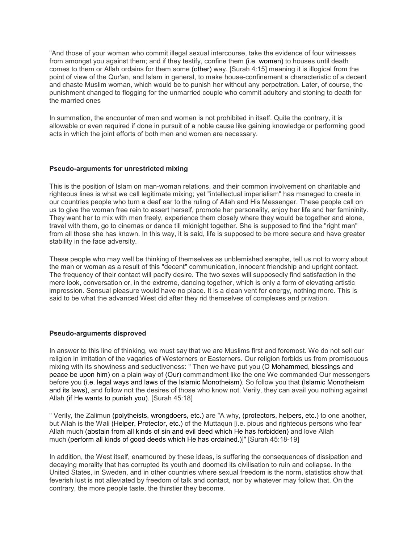"And those of your woman who commit illegal sexual intercourse, take the evidence of four witnesses from amongst you against them; and if they testify, confine them (i.e. women) to houses until death comes to them or Allah ordains for them some (other) way. [Surah 4:15] meaning it is illogical from the point of view of the Qur'an, and Islam in general, to make house-confinement a characteristic of a decent and chaste Muslim woman, which would be to punish her without any perpetration. Later, of course, the punishment changed to flogging for the unmarried couple who commit adultery and stoning to death for the married ones

In summation, the encounter of men and women is not prohibited in itself. Quite the contrary, it is allowable or even required if done in pursuit of a noble cause like gaining knowledge or performing good acts in which the joint efforts of both men and women are necessary.

## **Pseudo-arguments for unrestricted mixing**

This is the position of Islam on man-woman relations, and their common involvement on charitable and righteous lines is what we call legitimate mixing; yet "intellectual imperialism" has managed to create in our countries people who turn a deaf ear to the ruling of Allah and His Messenger. These people call on us to give the woman free rein to assert herself, promote her personality, enjoy her life and her femininity. They want her to mix with men freely, experience them closely where they would be together and alone, travel with them, go to cinemas or dance till midnight together. She is supposed to find the "right man" from all those she has known. In this way, it is said, life is supposed to be more secure and have greater stability in the face adversity.

These people who may well be thinking of themselves as unblemished seraphs, tell us not to worry about the man or woman as a result of this "decent" communication, innocent friendship and upright contact. The frequency of their contact will pacify desire. The two sexes will supposedly find satisfaction in the mere look, conversation or, in the extreme, dancing together, which is only a form of elevating artistic impression. Sensual pleasure would have no place. It is a clean vent for energy, nothing more. This is said to be what the advanced West did after they rid themselves of complexes and privation.

#### **Pseudo-arguments disproved**

In answer to this line of thinking, we must say that we are Muslims first and foremost. We do not sell our religion in imitation of the vagaries of Westerners or Easterners. Our religion forbids us from promiscuous mixing with its showiness and seductiveness: " Then we have put you (O Mohammed, blessings and peace be upon him) on a plain way of (Our) commandment like the one We commanded Our messengers before you (i.e. legal ways and laws of the Islamic Monotheism). So follow you that (Islamic Monotheism and its laws), and follow not the desires of those who know not. Verily, they can avail you nothing against Allah (if He wants to punish you). [Surah 45:18]

" Verily, the Zalimun (polytheists, wrongdoers, etc.) are "A why, (protectors, helpers, etc.) to one another, but Allah is the Wali (Helper, Protector, etc.) of the Muttaqun [i.e. pious and righteous persons who fear Allah much (abstain from all kinds of sin and evil deed which He has forbidden) and love Allah much (perform all kinds of good deeds which He has ordained.)]" [Surah 45:18-19]

In addition, the West itself, enamoured by these ideas, is suffering the consequences of dissipation and decaying morality that has corrupted its youth and doomed its civilisation to ruin and collapse. In the United States, in Sweden, and in other countries where sexual freedom is the norm, statistics show that feverish lust is not alleviated by freedom of talk and contact, nor by whatever may follow that. On the contrary, the more people taste, the thirstier they become.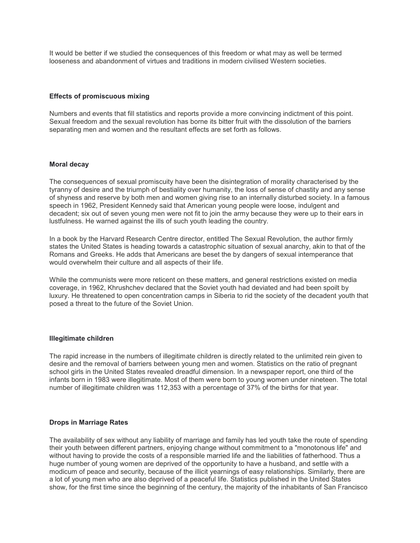It would be better if we studied the consequences of this freedom or what may as well be termed looseness and abandonment of virtues and traditions in modern civilised Western societies.

## **Effects of promiscuous mixing**

Numbers and events that fill statistics and reports provide a more convincing indictment of this point. Sexual freedom and the sexual revolution has borne its bitter fruit with the dissolution of the barriers separating men and women and the resultant effects are set forth as follows.

## **Moral decay**

The consequences of sexual promiscuity have been the disintegration of morality characterised by the tyranny of desire and the triumph of bestiality over humanity, the loss of sense of chastity and any sense of shyness and reserve by both men and women giving rise to an internally disturbed society. In a famous speech in 1962, President Kennedy said that American young people were loose, indulgent and decadent; six out of seven young men were not fit to join the army because they were up to their ears in lustfulness. He warned against the ills of such youth leading the country.

In a book by the Harvard Research Centre director, entitled The Sexual Revolution, the author firmly states the United States is heading towards a catastrophic situation of sexual anarchy, akin to that of the Romans and Greeks. He adds that Americans are beset the by dangers of sexual intemperance that would overwhelm their culture and all aspects of their life.

While the communists were more reticent on these matters, and general restrictions existed on media coverage, in 1962, Khrushchev declared that the Soviet youth had deviated and had been spoilt by luxury. He threatened to open concentration camps in Siberia to rid the society of the decadent youth that posed a threat to the future of the Soviet Union.

## **Illegitimate children**

The rapid increase in the numbers of illegitimate children is directly related to the unlimited rein given to desire and the removal of barriers between young men and women. Statistics on the ratio of pregnant school girls in the United States revealed dreadful dimension. In a newspaper report, one third of the infants born in 1983 were illegitimate. Most of them were born to young women under nineteen. The total number of illegitimate children was 112,353 with a percentage of 37% of the births for that year.

## **Drops in Marriage Rates**

The availability of sex without any liability of marriage and family has led youth take the route of spending their youth between different partners, enjoying change without commitment to a "monotonous life" and without having to provide the costs of a responsible married life and the liabilities of fatherhood. Thus a huge number of young women are deprived of the opportunity to have a husband, and settle with a modicum of peace and security, because of the illicit yearnings of easy relationships. Similarly, there are a lot of young men who are also deprived of a peaceful life. Statistics published in the United States show, for the first time since the beginning of the century, the majority of the inhabitants of San Francisco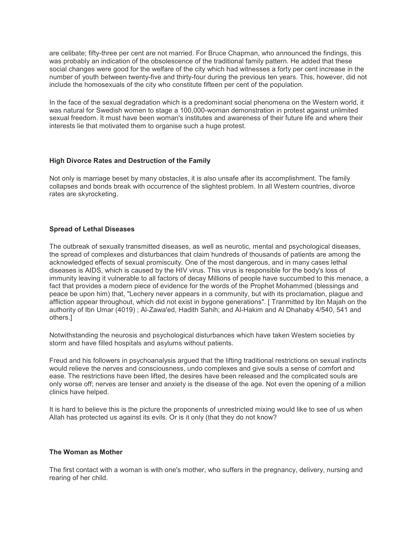are celibate; fifty-three per cent are not married. For Bruce Chapman, who announced the findings, this was probably an indication of the obsolescence of the traditional family pattern. He added that these social changes were good for the welfare of the city which had witnesses a forty per cent increase in the number of youth between twenty-five and thirty-four during the previous ten years. This, however, did not include the homosexuals of the city who constitute fifteen per cent of the population.

In the face of the sexual degradation which is a predominant social phenomena on the Western world, it was natural for Swedish women to stage a 100,000-woman demonstration in protest against unlimited sexual freedom. It must have been woman's institutes and awareness of their future life and where their interests lie that motivated them to organise such a huge protest.

## **High Divorce Rates and Destruction of the Family**

Not only is marriage beset by many obstacles, it is also unsafe after its accomplishment. The family collapses and bonds break with occurrence of the slightest problem. In all Western countries, divorce rates are skyrocketing.

## **Spread of Lethal Diseases**

The outbreak of sexually transmitted diseases, as well as neurotic, mental and psychological diseases, the spread of complexes and disturbances that claim hundreds of thousands of patients are among the acknowledged effects of sexual promiscuity. One of the most dangerous, and in many cases lethal diseases is AIDS, which is caused by the HIV virus. This virus is responsible for the body's loss of immunity leaving it vulnerable to all factors of decay Millions of people have succumbed to this menace, a fact that provides a modern piece of evidence for the words of the Prophet Mohammed (blessings and peace be upon him) that, "Lechery never appears in a community, but with its proclamation, plague and affliction appear throughout, which did not exist in bygone generations". [ Tranmitted by Ibn Majah on the authority of Ibn Umar (4019) ; Al-Zawa'ed, Hadith Sahih; and Al-Hakim and Al Dhahaby 4/540, 541 and others.]

Notwithstanding the neurosis and psychological disturbances which have taken Western societies by storm and have filled hospitals and asylums without patients.

Freud and his followers in psychoanalysis argued that the lifting traditional restrictions on sexual instincts would relieve the nerves and consciousness, undo complexes and give souls a sense of comfort and ease. The restrictions have been lifted, the desires have been released and the complicated souls are only worse off; nerves are tenser and anxiety is the disease of the age. Not even the opening of a million clinics have helped.

It is hard to believe this is the picture the proponents of unrestricted mixing would like to see of us when Allah has protected us against its evils. Or is it only (that they do not know?

## **The Woman as Mother**

The first contact with a woman is with one's mother, who suffers in the pregnancy, delivery, nursing and rearing of her child.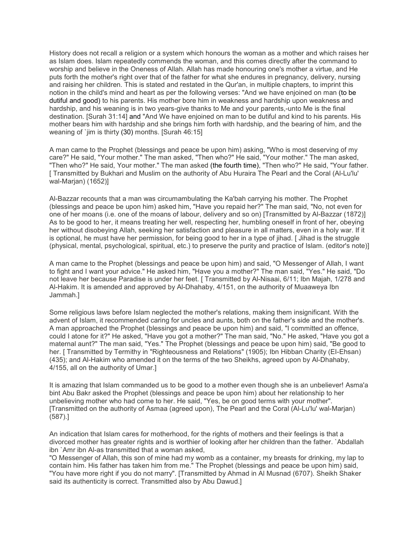History does not recall a religion or a system which honours the woman as a mother and which raises her as Islam does. Islam repeatedly commends the woman, and this comes directly after the command to worship and believe in the Oneness of Allah. Allah has made honouring one's mother a virtue, and He puts forth the mother's right over that of the father for what she endures in pregnancy, delivery, nursing and raising her children. This is stated and restated in the Qur'an, in multiple chapters, to imprint this notion in the child's mind and heart as per the following verses: "And we have enjoined on man (to be dutiful and good) to his parents. His mother bore him in weakness and hardship upon weakness and hardship, and his weaning is in two years-give thanks to Me and your parents,-unto Me is the final destination. [Surah 31:14] and "And We have enjoined on man to be dutiful and kind to his parents. His mother bears him with hardship and she brings him forth with hardship, and the bearing of him, and the weaning of `jim is thirty (30) months. [Surah 46:15]

A man came to the Prophet (blessings and peace be upon him) asking, "Who is most deserving of my care?" He said, "Your mother." The man asked, "Then who?" He said, "Your mother." The man asked, "Then who?" He said, Your mother." The man asked (the fourth time), "Then who?" He said, "Your father. [ Transmitted by Bukhari and Muslim on the authority of Abu Huraira The Pearl and the Coral (Al-Lu'lu' wal-Marjan) (1652)]

Al-Bazzar recounts that a man was circumambulating the Ka'bah carrying his mother. The Prophet (blessings and peace be upon him) asked him, "Have you repaid her?" The man said, "No, not even for one of her moans (i.e. one of the moans of labour, delivery and so on) [Transmitted by Al-Bazzar (1872)] As to be good to her, it means treating her well, respecting her, humbling oneself in front of her, obeying her without disobeying Allah, seeking her satisfaction and pleasure in all matters, even in a holy war. If it is optional, he must have her permission, for being good to her in a type of jihad. [Jihad is the struggle (physical, mental, psychological, spiritual, etc.) to preserve the purity and practice of Islam. (editor's note)]

A man came to the Prophet (blessings and peace be upon him) and said, "O Messenger of Allah, I want to fight and I want your advice." He asked him, "Have you a mother?" The man said, "Yes." He said, "Do not leave her because Paradise is under her feet. [ Transmitted by Al-Nisaai, 6/11; Ibn Majah, 1/278 and Al-Hakim. It is amended and approved by Al-Dhahaby, 4/151, on the authority of Muaaweya Ibn Jammah.]

Some religious laws before Islam neglected the mother's relations, making them insignificant. With the advent of Islam, it recommended caring for uncles and aunts, both on the father's side and the mother's. A man approached the Prophet (blessings and peace be upon him) and said, "I committed an offence, could I atone for it?" He asked, "Have you got a mother?" The man said, "No." He asked, "Have you got a maternal aunt?" The man said, "Yes." The Prophet (blessings and peace be upon him) said, "Be good to her. [ Transmitted by Termithy in "Righteousness and Relations" (1905); Ibn Hibban Charity (EI-Ehsan) (435); and Al-Hakim who amended it on the terms of the two Sheikhs, agreed upon by Al-Dhahaby, 4/155, all on the authority of Umar.]

It is amazing that Islam commanded us to be good to a mother even though she is an unbeliever! Asma'a bint Abu Bakr asked the Prophet (blessings and peace be upon him) about her relationship to her unbelieving mother who had come to her. He said, "Yes, be on good terms with your mother". [Transmitted on the authority of Asmaa (agreed upon), The Pearl and the Coral (Al-Lu'lu' wal-Marjan) (587).]

An indication that Islam cares for motherhood, for the rights of mothers and their feelings is that a divorced mother has greater rights and is worthier of looking after her children than the father. `Abdallah ibn `Amr ibn Al-as transmitted that a woman asked,

"O Messenger of Allah, this son of mine had my womb as a container, my breasts for drinking, my lap to contain him. His father has taken him from me." The Prophet (blessings and peace be upon him) said, "You have more right if you do not marry". [Transmitted by Ahmad in Al Musnad (6707). Sheikh Shaker said its authenticity is correct. Transmitted also by Abu Dawud.]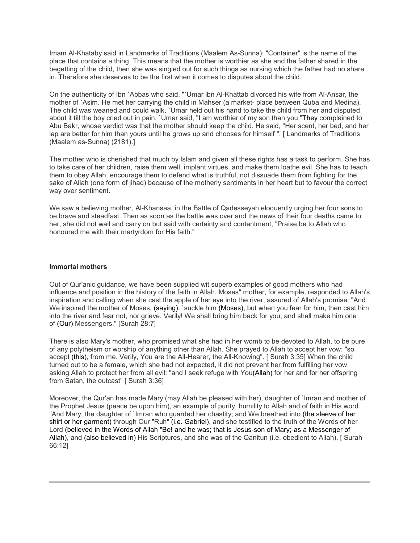Imam Al-Khataby said in Landmarks of Traditions (Maalem As-Sunna): "Container" is the name of the place that contains a thing. This means that the mother is worthier as she and the father shared in the begetting of the child, then she was singled out for such things as nursing which the father had no share in. Therefore she deserves to be the first when it comes to disputes about the child.

On the authenticity of Ibn `Abbas who said, "`Umar ibn Al-Khattab divorced his wife from Al-Ansar, the mother of `Asim. He met her carrying the child in Mahser (a market- place between Quba and Medina). The child was weaned and could walk. `Umar held out his hand to take the child from her and disputed about it till the boy cried out in pain. `Umar said, "I am worthier of my son than you "They complained to Abu Bakr, whose verdict was that the mother should keep the child. He said, "Her scent, her bed, and her lap are better for him than yours until he grows up and chooses for himself". [Landmarks of Traditions (Maalem as-Sunna) (2181).]

The mother who is cherished that much by Islam and given all these rights has a task to perform. She has to take care of her children, raise them well, implant virtues, and make them loathe evil. She has to teach them to obey Allah, encourage them to defend what is truthful, not dissuade them from fighting for the sake of Allah (one form of jihad) because of the motherly sentiments in her heart but to favour the correct way over sentiment.

We saw a believing mother, Al-Khansaa, in the Battle of Qadesseyah eloquently urging her four sons to be brave and steadfast. Then as soon as the battle was over and the news of their four deaths came to her, she did not wail and carry on but said with certainty and contentment, "Praise be to Allah who honoured me with their martyrdom for His faith."

#### **Immortal mothers**

Out of Qur'anic guidance, we have been supplied wit superb examples of good mothers who had influence and position in the history of the faith in Allah. Moses" mother, for example, responded to Allah's inspiration and calling when she cast the apple of her eye into the river, assured of Allah's promise: "And We inspired the mother of Moses, (saying): `suckle him (Moses), but when you fear for him, then cast him into the river and fear not, nor grieve. Verily! We shall bring him back for you, and shall make him one of (Our) Messengers." [Surah 28:7]

There is also Mary's mother, who promised what she had in her womb to be devoted to Allah, to be pure of any polytheism or worship of anything other than Allah. She prayed to Allah to accept her vow: "so accept (this), from me. Verily, You are the All-Hearer, the All-Knowing". [ Surah 3:35] When the child turned out to be a female, which she had not expected, it did not prevent her from fulfilling her vow, asking Allah to protect her from all evil: "and I seek refuge with You(Allah) for her and for her offspring from Satan, the outcast" [ Surah 3:36]

Moreover, the Qur'an has made Mary (may Allah be pleased with her), daughter of `Imran and mother of the Prophet Jesus (peace be upon him), an example of purity, humility to Allah and of faith in His word. "And Mary, the daughter of `Imran who guarded her chastity; and We breathed into (the sleeve of her shirt or her garment) through Our "Ruh" (i.e. Gabriel), and she testified to the truth of the Words of her Lord (believed in the Words of Allah "Be! and he was; that is Jesus-son of Mary;-as a Messenger of Allah), and (also believed in) His Scriptures, and she was of the Qanitun (i.e. obedient to Allah). [ Surah 66:12]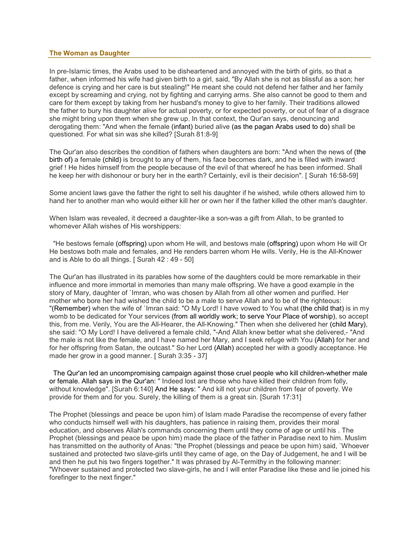## **The Woman as Daughter**

In pre-Islamic times, the Arabs used to be disheartened and annoyed with the birth of girls, so that a father, when informed his wife had given birth to a girl, said, "By Allah she is not as blissful as a son; her defence is crying and her care is but stealing!" He meant she could not defend her father and her family except by screaming and crying, not by fighting and carrying arms. She also cannot be good to them and care for them except by taking from her husband's money to give to her family. Their traditions allowed the father to bury his daughter alive for actual poverty, or for expected poverty, or out of fear of a disgrace she might bring upon them when she grew up. In that context, the Qur'an says, denouncing and derogating them: "And when the female (infant) buried alive (as the pagan Arabs used to do) shall be questioned. For what sin was she killed? [Surah 81:8-9]

The Qur'an also describes the condition of fathers when daughters are born: "And when the news of (the birth of) a female (child) is brought to any of them, his face becomes dark, and he is filled with inward grief ! He hides himself from the people because of the evil of that whereof he has been informed. Shall he keep her with dishonour or bury her in the earth? Certainly, evil is their decision". [ Surah 16:58-59]

Some ancient laws gave the father the right to sell his daughter if he wished, while others allowed him to hand her to another man who would either kill her or own her if the father killed the other man's daughter.

When Islam was revealed, it decreed a daughter-like a son-was a gift from Allah, to be granted to whomever Allah wishes of His worshippers:

 "He bestows female (offspring) upon whom He will, and bestows male (offspring) upon whom He will Or He bestows both male and females, and He renders barren whom He wills. Verily, He is the All-Knower and is Able to do all things. [ Surah 42 : 49 - 50]

The Qur'an has illustrated in its parables how some of the daughters could be more remarkable in their influence and more immortal in memories than many male offspring. We have a good example in the story of Mary, daughter of `Imran, who was chosen by Allah from all other women and purified. Her mother who bore her had wished the child to be a male to serve Allah and to be of the righteous: "(Remember) when the wife of `Imran said: "O My Lord! I have vowed to You what (the child that) is in my womb to be dedicated for Your services (from all worldly work; to serve Your Place of worship), so accept this, from me. Verily, You are the All-Hearer, the All-Knowing." Then when she delivered her (child Mary), she said: "O My Lord! I have delivered a female child, "-And Allah knew better what she delivered,- "And the male is not like the female, and I have named her Mary, and I seek refuge with You (Allah) for her and for her offspring from Satan, the outcast." So her Lord (Allah) accepted her with a goodly acceptance. He made her grow in a good manner. [ Surah 3:35 - 37]

 The Qur'an led an uncompromising campaign against those cruel people who kill children-whether male or female. Allah says in the Qur'an: " Indeed lost are those who have killed their children from folly, without knowledge". [Surah 6:140] And He says: " And kill not your children from fear of poverty. We provide for them and for you. Surely, the killing of them is a great sin. [Surah 17:31]

The Prophet (blessings and peace be upon him) of Islam made Paradise the recompense of every father who conducts himself well with his daughters, has patience in raising them, provides their moral education, and observes Allah's commands concerning them until they come of age or until his . The Prophet (blessings and peace be upon him) made the place of the father in Paradise next to him. Muslim has transmitted on the authority of Anas: "the Prophet (blessings and peace be upon him) said, `Whoever sustained and protected two slave-girls until they came of age, on the Day of Judgement, he and I will be and then he put his two fingers together." It was phrased by Al-Termithy in the following manner: "Whoever sustained and protected two slave-girls, he and I will enter Paradise like these and lie joined his forefinger to the next finger."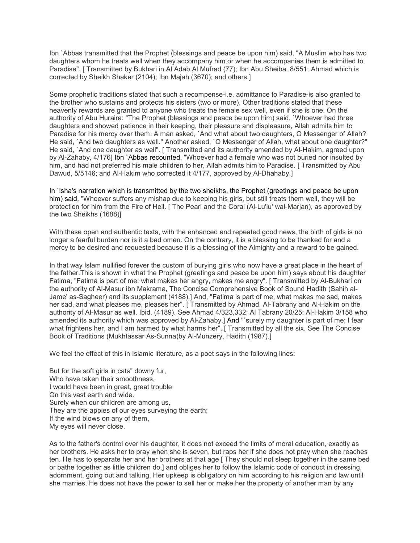Ibn `Abbas transmitted that the Prophet (blessings and peace be upon him) said, "A Muslim who has two daughters whom he treats well when they accompany him or when he accompanies them is admitted to Paradise". [ Transmitted by Bukhari in Al Adab Al Mufrad (77); Ibn Abu Sheiba, 8/551; Ahmad which is corrected by Sheikh Shaker (2104); Ibn Majah (3670); and others.]

Some prophetic traditions stated that such a recompense-i.e. admittance to Paradise-is also granted to the brother who sustains and protects his sisters (two or more). Other traditions stated that these heavenly rewards are granted to anyone who treats the female sex well, even if she is one. On the authority of Abu Huraira: "The Prophet (blessings and peace be upon him) said, `Whoever had three daughters and showed patience in their keeping, their pleasure and displeasure, Allah admits him to Paradise for his mercy over them. A man asked, `And what about two daughters, O Messenger of Allah? He said, `And two daughters as well." Another asked, `O Messenger of Allah, what about one daughter?" He said, `And one daughter as well". [ Transmitted and its authority amended by Al-Hakim, agreed upon by Al-Zahaby, 4/176] Ibn `Abbas recounted, "Whoever had a female who was not buried nor insulted by him, and had not preferred his male children to her, Allah admits him to Paradise. [ Transmitted by Abu Dawud, 5/5146; and Al-Hakim who corrected it 4/177, approved by Al-Dhahaby.]

In `isha's narration which is transmitted by the two sheikhs, the Prophet (greetings and peace be upon him) said, "Whoever suffers any mishap due to keeping his girls, but still treats them well, they will be protection for him from the Fire of Hell. [ The Pearl and the Coral (Al-Lu'lu' wal-Marjan), as approved by the two Sheikhs (1688)]

With these open and authentic texts, with the enhanced and repeated good news, the birth of girls is no longer a fearful burden nor is it a bad omen. On the contrary, it is a blessing to be thanked for and a mercy to be desired and requested because it is a blessing of the Almighty and a reward to be gained.

In that way Islam nullified forever the custom of burying girls who now have a great place in the heart of the father.This is shown in what the Prophet (greetings and peace be upon him) says about his daughter Fatima, "Fatima is part of me; what makes her angry, makes me angry". [ Transmitted by Al-Bukhari on the authority of Al-Masur ibn Makrama, The Concise Comprehensive Book of Sound Hadith (Sahih al-Jame' as-Sagheer) and its supplement (4188).] And, "Fatima is part of me, what makes me sad, makes her sad, and what pleases me, pleases her". [ Transmitted by Ahmad, Al-Tabrany and Al-Hakim on the authority of Al-Masur as well. Ibid. (4189). See Ahmad 4/323,332; Al Tabrany 20/25; Al-Hakim 3/158 who amended its authority which was approved by Al-Zahaby.] And "`surely my daughter is part of me; I fear what frightens her, and I am harmed by what harms her". [ Transmitted by all the six. See The Concise Book of Traditions (Mukhtassar As-Sunna)by Al-Munzery, Hadith (1987).]

We feel the effect of this in Islamic literature, as a poet says in the following lines:

But for the soft girls in cats" downy fur, Who have taken their smoothness, I would have been in great, great trouble On this vast earth and wide. Surely when our children are among us, They are the apples of our eyes surveying the earth; If the wind blows on any of them, My eyes will never close.

As to the father's control over his daughter, it does not exceed the limits of moral education, exactly as her brothers. He asks her to pray when she is seven, but raps her if she does not pray when she reaches ten. He has to separate her and her brothers at that age [ They should not sleep together in the same bed or bathe together as little children do.] and obliges her to follow the Islamic code of conduct in dressing, adornment, going out and talking. Her upkeep is obligatory on him according to his religion and law until she marries. He does not have the power to sell her or make her the property of another man by any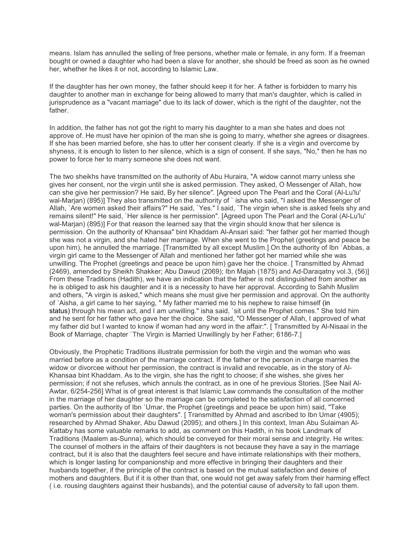means. Islam has annulled the selling of free persons, whether male or female, in any form. If a freeman bought or owned a daughter who had been a slave for another, she should be freed as soon as he owned her, whether he likes it or not, according to Islamic Law.

If the daughter has her own money, the father should keep it for her. A father is forbidden to marry his daughter to another man in exchange for being allowed to marry that man's daughter, which is called in jurisprudence as a "vacant marriage" due to its lack of dower, which is the right of the daughter, not the father.

In addition, the father has not got the right to marry his daughter to a man she hates and does not approve of. He must have her opinion of the man she is going to marry, whether she agrees or disagrees. If she has been married before, she has to utter her consent clearly. If she is a virgin and overcome by shyness, it is enough to listen to her silence, which is a sign of consent. If she says, "No," then he has no power to force her to marry someone she does not want.

The two sheikhs have transmitted on the authority of Abu Huraira, "A widow cannot marry unless she gives her consent, nor the virgin until she is asked permission. They asked, O Messenger of Allah, how can she give her permission? He said, By her silence". [Agreed upon The Pearl and the Coral (Al-Lu'lu' wal-Marjan) (895)] They also transmitted on the authority of ` isha who said, "I asked the Messenger of Allah, `Are women asked their affairs?" He said, `Yes." I said, `The virgin when she is asked feels shy and remains silent!" He said, `Her silence is her permission". [Agreed upon The Pearl and the Coral (Al-Lu'lu' wal-Marjan) (895)] For that reason the learned say that the virgin should know that her silence is permission. On the authority of Khansaa" bint Khaddam Al-Ansari said: "her father got her married though she was not a virgin, and she hated her marriage. When she went to the Prophet (greetings and peace be upon him), he annulled the marriage. [Transmitted by all except Muslim.] On the authority of Ibn `Abbas, a virgin girl came to the Messenger of Allah and mentioned her father got her married while she was unwilling. The Prophet (greetings and peace be upon him) gave her the choice. [ Transmitted by Ahmad (2469), amended by Sheikh Shakker; Abu Dawud (2069); Ibn Majah (1875) and Ad-Daraqatny vol.3, (56)] From these Traditions (Hadith), we have an indication that the father is not distinguished from another as he is obliged to ask his daughter and it is a necessity to have her approval. According to Sahih Muslim and others, "A virgin is asked," which means she must give her permission and approval. On the authority of `Aisha, a girl came to her saying, " My father married me to his nephew to raise himself (in status) through his mean act, and I am unwilling." isha said, `sit until the Prophet comes." She told him and he sent for her father who gave her the choice. She said, "O Messenger of Allah, I approved of what my father did but I wanted to know if woman had any word in the affair:". [ Transmitted by Al-Nisaai in the Book of Marriage, chapter `The Virgin is Married Unwillingly by her Father; 6186-7.]

Obviously, the Prophetic Traditions illustrate permission for both the virgin and the woman who was married before as a condition of the marriage contract. If the father or the person in charge marries the widow or divorcee without her permission, the contract is invalid and revocable, as in the story of Al-Khansaa bint Khaddam. As to the virgin, she has the right to choose; if she wishes, she gives her permission; if not she refuses, which annuls the contract, as in one of he previous Stories. [See Nail Al-Awtar, 6/254-256] What is of great interest is that Islamic Law commands the consultation of the mother in the marriage of her daughter so the marriage can be completed to the satisfaction of all concerned parties. On the authority of Ibn `Umar, the Prophet (greetings and peace be upon him) said, "Take woman's permission about their daughters". [ Transmitted by Ahmad and ascribed to Ibn Umar (4905); researched by Ahmad Shaker, Abu Dawud (2095); and others.] In this context, Iman Abu Sulaiman Al-Kattaby has some valuable remarks to add, as comment on this Hadith, in his book Landmark of Traditions (Maalem as-Sunna), which should be conveyed for their moral sense and integrity. He writes: The counsel of mothers in the affairs of their daughters is not because they have a say in the marriage contract, but it is also that the daughters feel secure and have intimate relationships with their mothers, which is longer lasting for companionship and more effective in bringing their daughters and their husbands together, if the principle of the contract is based on the mutual satisfaction and desire of mothers and daughters. But if it is other than that, one would not get away safely from their harming effect ( i.e. rousing daughters against their husbands), and the potential cause of adversity to fall upon them.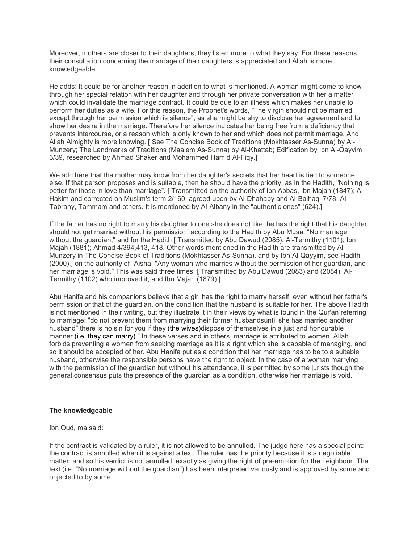Moreover, mothers are closer to their daughters; they listen more to what they say. For these reasons, their consultation concerning the marriage of their daughters is appreciated and Allah is more knowledgeable.

He adds: It could be for another reason in addition to what is mentioned. A woman might come to know through her special relation with her daughter and through her private conversation with her a matter which could invalidate the marriage contract. It could be due to an illness which makes her unable to perform her duties as a wife. For this reason, the Prophet's words, "The virgin should not be married except through her permission which is silence", as she might be shy to disclose her agreement and to show her desire in the marriage. Therefore her silence indicates her being free from a deficiency that prevents intercourse, or a reason which is only known to her and which does not permit marriage. And Allah Almighty is more knowing. [ See The Concise Book of Traditions (Mokhtasser As-Sunna) by Al-Munzery; The Landmarks of Traditions (Maalem As-Sunna) by Al-Khattab; Edification by Ibn Al-Qayyim 3/39, researched by Ahmad Shaker and Mohammed Hamid Al-Fiqy.]

We add here that the mother may know from her daughter's secrets that her heart is tied to someone else. If that person proposes and is suitable, then he should have the priority, as in the Hadith, "Nothing is better for those in love than marriage". [ Transmitted on the authority of Ibn Abbas, Ibn Majah (1847); Al-Hakim and corrected on Muslim's term 2/160, agreed upon by Al-Dhahaby and Al-Baihaqi 7/78; Al-Tabrany, Tammam and others. It is mentioned by Al-Albany in the "authentic ones" (624).]

If the father has no right to marry his daughter to one she does not like, he has the right that his daughter should not get married without his permission, according to the Hadith by Abu Musa, "No marriage without the guardian," and for the Hadith [ Transmitted by Abu Dawud (2085); Al-Termithy (1101); Ibn Majah (1881); Ahmad 4/394,413, 418. Other words mentioned in the Hadith are transmitted by Al-Munzery in The Concise Book of Traditions (Mokhtasser As-Sunna), and by Ibn Al-Qayyim, see Hadith (2000).] on the authority of `Aisha, "Any woman who marries without the permission of her guardian, and her marriage is void." This was said three times. [ Transmitted by Abu Dawud (2083) and (2084); Al-Termithy (1102) who improved it; and Ibn Majah (1879).]

Abu Hanifa and his companions believe that a girl has the right to marry herself, even without her father's permission or that of the guardian, on the condition that the husband is suitable for her. The above Hadith is not mentioned in their writing, but they illustrate it in their views by what is found in the Qur'an referring to marriage: "do not prevent them from marrying their former husbandsuntil she has married another husband" there is no sin for you if they (the wives)dispose of themselves in a just and honourable manner (i.e. they can marry)." In these verses and in others, marriage is attributed to women. Allah forbids preventing a women from seeking marriage as it is a right which she is capable of managing, and so it should be accepted of her. Abu Hanifa put as a condition that her marriage has to be to a suitable husband, otherwise the responsible persons have the right to object. In the case of a woman marrying with the permission of the guardian but without his attendance, it is permitted by some jurists though the general consensus puts the presence of the guardian as a condition, otherwise her marriage is void.

## **The knowledgeable**

Ibn Qud, ma said:

If the contract is validated by a ruler, it is not allowed to be annulled. The judge here has a special point: the contract is annulled when it is against a text. The ruler has the priority because it is a negotiable matter, and so his verdict is not annulled, exactly as giving the right of pre-emption for the neighbour. The text (i.e. "No marriage without the guardian") has been interpreted variously and is approved by some and objected to by some.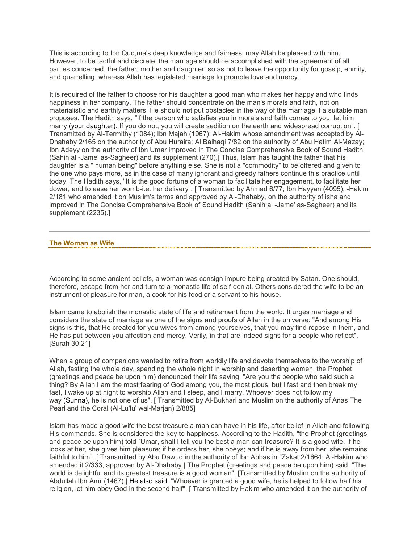This is according to Ibn Qud,ma's deep knowledge and fairness, may Allah be pleased with him. However, to be tactful and discrete, the marriage should be accomplished with the agreement of all parties concerned, the father, mother and daughter, so as not to leave the opportunity for gossip, enmity, and quarrelling, whereas Allah has legislated marriage to promote love and mercy.

It is required of the father to choose for his daughter a good man who makes her happy and who finds happiness in her company. The father should concentrate on the man's morals and faith, not on materialistic and earthly matters. He should not put obstacles in the way of the marriage if a suitable man proposes. The Hadith says, "If the person who satisfies you in morals and faith comes to you, let him marry (your daughter). If you do not, you will create sedition on the earth and widespread corruption". [ Transmitted by Al-Termithy (1084); Ibn Majah (1967); Al-Hakim whose amendment was accepted by Al-Dhahaby 2/165 on the authority of Abu Huraira; Al Baihaqi 7/82 on the authority of Abu Hatim Al-Mazay; Ibn Adeyy on the authority of Ibn Umar improved in The Concise Comprehensive Book of Sound Hadith (Sahih al -Jame' as-Sagheer) and its supplement (270).] Thus, Islam has taught the father that his daughter is a " human being" before anything else. She is not a "commodity" to be offered and given to the one who pays more, as in the case of many ignorant and greedy fathers continue this practice until today. The Hadith says, "It is the good fortune of a woman to facilitate her engagement, to facilitate her dower, and to ease her womb-i.e. her delivery". [ Transmitted by Ahmad 6/77; Ibn Hayyan (4095); -Hakim 2/181 who amended it on Muslim's terms and approved by Al-Dhahaby, on the authority of isha and improved in The Concise Comprehensive Book of Sound Hadith (Sahih al -Jame' as-Sagheer) and its supplement (2235).]

#### **The Woman as Wife**

According to some ancient beliefs, a woman was consign impure being created by Satan. One should, therefore, escape from her and turn to a monastic life of self-denial. Others considered the wife to be an instrument of pleasure for man, a cook for his food or a servant to his house.

Islam came to abolish the monastic state of life and retirement from the world. It urges marriage and considers the state of marriage as one of the signs and proofs of Allah in the universe: "And among His signs is this, that He created for you wives from among yourselves, that you may find repose in them, and He has put between you affection and mercy. Verily, in that are indeed signs for a people who reflect". [Surah 30:21]

When a group of companions wanted to retire from worldly life and devote themselves to the worship of Allah, fasting the whole day, spending the whole night in worship and deserting women, the Prophet (greetings and peace be upon him) denounced their life saying, "Are you the people who said such a thing? By Allah I am the most fearing of God among you, the most pious, but I fast and then break my fast, I wake up at night to worship Allah and I sleep, and I marry. Whoever does not follow my way (Sunna), he is not one of us". [ Transmitted by Al-Bukhari and Muslim on the authority of Anas The Pearl and the Coral (Al-Lu'lu' wal-Marjan) 2/885]

Islam has made a good wife the best treasure a man can have in his life, after belief in Allah and following His commands. She is considered the key to happiness. According to the Hadith, "the Prophet (greetings and peace be upon him) told `Umar, shall I tell you the best a man can treasure? It is a good wife. If he looks at her, she gives him pleasure; if he orders her, she obeys; and if he is away from her, she remains faithful to him". [ Transmitted by Abu Dawud in the authority of Ibn Abbas in "Zakat 2/1664; Al-Hakim who amended it 2/333, approved by Al-Dhahaby.] The Prophet (greetings and peace be upon him) said, "The world is delightful and its greatest treasure is a good woman". [Transmitted by Muslim on the authority of Abdullah Ibn Amr (1467).] He also said, "Whoever is granted a good wife, he is helped to follow half his religion, let him obey God in the second half". [ Transmitted by Hakim who amended it on the authority of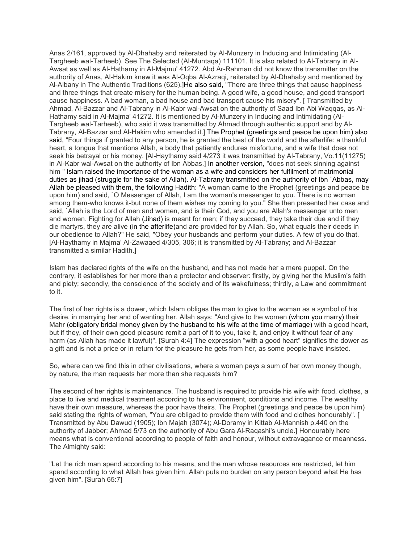Anas 2/161, approved by Al-Dhahaby and reiterated by Al-Munzery in Inducing and Intimidating (Al-Targheeb wal-Tarheeb). See The Selected (Al-Muntaqa) 111101. It is also related to Al-Tabrany in Al-Awsat as well as Al-Hathamy in AI-Majmu' 41272. Abd Ar-Rahman did not know the transmitter on the authority of Anas, Al-Hakim knew it was Al-Oqba Al-Azraqi, reiterated by Al-Dhahaby and mentioned by Al-Albany in The Authentic Traditions (625).]He also said, "There are three things that cause happiness and three things that create misery for the human being. A good wife, a good house, and good transport cause happiness. A bad woman, a bad house and bad transport cause his misery". [ Transmitted by Ahmad, Al-Bazzar and Al-Tabrany in Al-Kabr wal-Awsat on the authority of Saad Ibn Abi Waqqas, as Al-Hathamy said in Al-Majma' 41272. It is mentioned by Al-Munzery in Inducing and Intimidating (Al-Targheeb wal-Tarheeb), who said it was transmitted by Ahmad through authentic support and by Al-Tabrany, Al-Bazzar and Al-Hakim who amended it.] The Prophet (greetings and peace be upon him) also said, "Four things if granted to any person, he is granted the best of the world and the afterlife: a thankful heart, a tongue that mentions Allah, a body that patiently endures misfortune, and a wife that does not seek his betrayal or his money. [Al-Haythamy said 4/273 it was transmitted by Al-Tabrany, Vo.11(11275) in Al-Kabr wal-Awsat on the authority of Ibn Abbas.] In another version, "does not seek sinning against him " Islam raised the importance of the woman as a wife and considers her fulfilment of matrimonial duties as jihad (struggle for the sake of Allah). Al-Tabrany transmitted on the authority of Ibn `Abbas, may Allah be pleased with them, the following Hadith: "A woman came to the Prophet (greetings and peace be upon him) and said, `O Messenger of Allah, I am the woman's messenger to you. There is no woman among them-who knows it-but none of them wishes my coming to you." She then presented her case and said, `Allah is the Lord of men and women, and is their God, and you are Allah's messenger unto men and women. Fighting for Allah (Jihad) is meant for men; if they succeed, they take their due and if they die martyrs, they are alive (in the afterlife)and are provided for by Allah. So, what equals their deeds in our obedience to Allah?" He said, "Obey your husbands and perform your duties. A few of you do that. [Al-Haythamy in Majma' Al-Zawaaed 4/305, 306; it is transmitted by Al-Tabrany; and Al-Bazzar transmitted a similar Hadith.]

Islam has declared rights of the wife on the husband, and has not made her a mere puppet. On the contrary, it establishes for her more than a protector and observer: firstly, by giving her the Muslim's faith and piety; secondly, the conscience of the society and of its wakefulness; thirdly, a Law and commitment to it.

The first of her rights is a dower, which Islam obliges the man to give to the woman as a symbol of his desire, in marrying her and of wanting her. Allah says: "And give to the women (whom you marry) their Mahr (obligatory bridal money given by the husband to his wife at the time of marriage) with a good heart, but if they, of their own good pleasure remit a part of it to you, take it, and enjoy it without fear of any harm (as Allah has made it lawful)". [Surah 4:4] The expression "with a good heart" signifies the dower as a gift and is not a price or in return for the pleasure he gets from her, as some people have insisted.

So, where can we find this in other civilisations, where a woman pays a sum of her own money though, by nature, the man requests her more than she requests him?

The second of her rights is maintenance. The husband is required to provide his wife with food, clothes, a place to live and medical treatment according to his environment, conditions and income. The wealthy have their own measure, whereas the poor have theirs. The Prophet (greetings and peace be upon him) said stating the rights of women, "You are obliged to provide them with food and clothes honourably". [ Transmitted by Abu Dawud (1905); Ibn Majah (3074); Al-Doramy in Kittab Al-Mannish p.440 on the authority of Jabber; Ahmad 5/73 on the authority of Abu Gara Al-Raqashi's uncle.] Honourably here means what is conventional according to people of faith and honour, without extravagance or meanness. The Almighty said:

"Let the rich man spend according to his means, and the man whose resources are restricted, let him spend according to what Allah has given him. Allah puts no burden on any person beyond what He has given him". [Surah 65:7]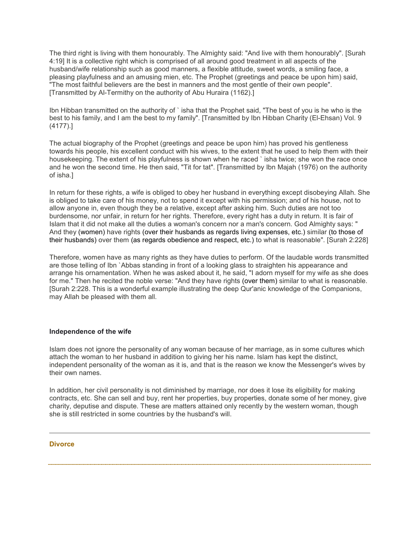The third right is living with them honourably. The Almighty said: "And live with them honourably". [Surah 4:19] It is a collective right which is comprised of all around good treatment in all aspects of the husband/wife relationship such as good manners, a flexible attitude, sweet words, a smiling face, a pleasing playfulness and an amusing mien, etc. The Prophet (greetings and peace be upon him) said, "The most faithful believers are the best in manners and the most gentle of their own people". [Transmitted by Al-Termithy on the authority of Abu Huraira (1162).]

Ibn Hibban transmitted on the authority of ` isha that the Prophet said, "The best of you is he who is the best to his family, and I am the best to my family". [Transmitted by Ibn Hibban Charity (El-Ehsan) Vol. 9 (4177).]

The actual biography of the Prophet (greetings and peace be upon him) has proved his gentleness towards his people, his excellent conduct with his wives, to the extent that he used to help them with their housekeeping. The extent of his playfulness is shown when he raced ` isha twice; she won the race once and he won the second time. He then said, "Tit for tat". [Transmitted by Ibn Majah (1976) on the authority of isha.]

In return for these rights, a wife is obliged to obey her husband in everything except disobeying Allah. She is obliged to take care of his money, not to spend it except with his permission; and of his house, not to allow anyone in, even though they be a relative, except after asking him. Such duties are not too burdensome, nor unfair, in return for her rights. Therefore, every right has a duty in return. It is fair of Islam that it did not make all the duties a woman's concern nor a man's concern. God Almighty says: " And they (women) have rights (over their husbands as regards living expenses, etc.) similar (to those of their husbands) over them (as regards obedience and respect, etc.) to what is reasonable". [Surah 2:228]

Therefore, women have as many rights as they have duties to perform. Of the laudable words transmitted are those telling of Ibn `Abbas standing in front of a looking glass to straighten his appearance and arrange his ornamentation. When he was asked about it, he said, "I adorn myself for my wife as she does for me." Then he recited the noble verse: "And they have rights (over them) similar to what is reasonable. [Surah 2:228. This is a wonderful example illustrating the deep Qur'anic knowledge of the Companions, may Allah be pleased with them all.

#### **Independence of the wife**

Islam does not ignore the personality of any woman because of her marriage, as in some cultures which attach the woman to her husband in addition to giving her his name. Islam has kept the distinct, independent personality of the woman as it is, and that is the reason we know the Messenger's wives by their own names.

In addition, her civil personality is not diminished by marriage, nor does it lose its eligibility for making contracts, etc. She can sell and buy, rent her properties, buy properties, donate some of her money, give charity, deputise and dispute. These are matters attained only recently by the western woman, though she is still restricted in some countries by the husband's will.

#### **Divorce**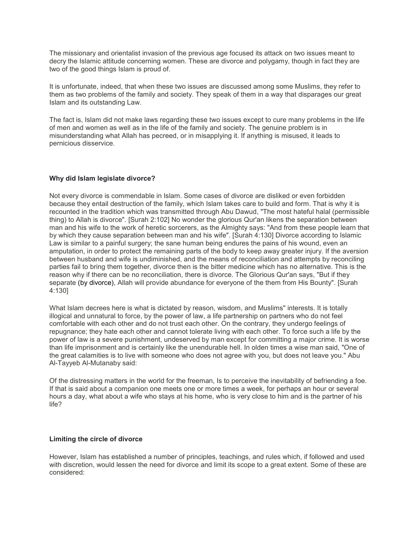The missionary and orientalist invasion of the previous age focused its attack on two issues meant to decry the Islamic attitude concerning women. These are divorce and polygamy, though in fact they are two of the good things Islam is proud of.

It is unfortunate, indeed, that when these two issues are discussed among some Muslims, they refer to them as two problems of the family and society. They speak of them in a way that disparages our great Islam and its outstanding Law.

The fact is, Islam did not make laws regarding these two issues except to cure many problems in the life of men and women as well as in the life of the family and society. The genuine problem is in misunderstanding what Allah has pecreed, or in misapplying it. If anything is misused, it leads to pernicious disservice.

## **Why did Islam legislate divorce?**

Not every divorce is commendable in Islam. Some cases of divorce are disliked or even forbidden because they entail destruction of the family, which Islam takes care to build and form. That is why it is recounted in the tradition which was transmitted through Abu Dawud, "The most hateful halal (permissible thing) to Allah is divorce". [Surah 2:102] No wonder the glorious Qur'an likens the separation between man and his wife to the work of heretic sorcerers, as the Almighty says: "And from these people learn that by which they cause separation between man and his wife". [Surah 4:130] Divorce according to Islamic Law is similar to a painful surgery; the sane human being endures the pains of his wound, even an amputation, in order to protect the remaining parts of the body to keep away greater injury. If the aversion between husband and wife is undiminished, and the means of reconciliation and attempts by reconciling parties fail to bring them together, divorce then is the bitter medicine which has no alternative. This is the reason why if there can be no reconciliation, there is divorce. The Glorious Qur'an says, "But if they separate (by divorce), Allah will provide abundance for everyone of the them from His Bounty". [Surah 4:130]

What Islam decrees here is what is dictated by reason, wisdom, and Muslims" interests. It is totally illogical and unnatural to force, by the power of law, a life partnership on partners who do not feel comfortable with each other and do not trust each other. On the contrary, they undergo feelings of repugnance; they hate each other and cannot tolerate living with each other. To force such a life by the power of law is a severe punishment, undeserved by man except for committing a major crime. It is worse than life imprisonment and is certainly like the unendurable hell. In olden times a wise man said, "One of the great calamities is to live with someone who does not agree with you, but does not leave you." Abu Al-Tayyeb Al-Mutanaby said:

Of the distressing matters in the world for the freeman, Is to perceive the inevitability of befriending a foe. If that is said about a companion one meets one or more times a week, for perhaps an hour or several hours a day, what about a wife who stays at his home, who is very close to him and is the partner of his life?

## **Limiting the circle of divorce**

However, Islam has established a number of principles, teachings, and rules which, if followed and used with discretion, would lessen the need for divorce and limit its scope to a great extent. Some of these are considered: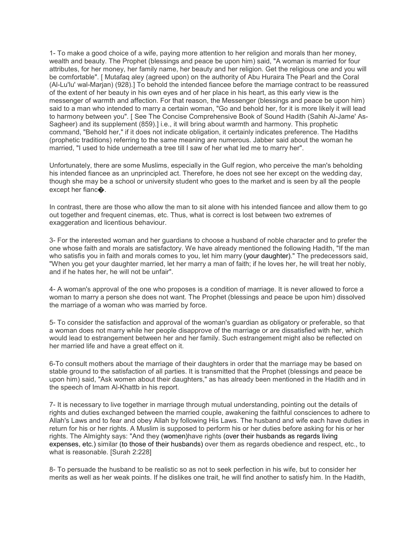1- To make a good choice of a wife, paying more attention to her religion and morals than her money, wealth and beauty. The Prophet (blessings and peace be upon him) said, "A woman is married for four attributes, for her money, her family name, her beauty and her religion. Get the religious one and you will be comfortable". [ Mutafaq aley (agreed upon) on the authority of Abu Huraira The Pearl and the Coral (Al-Lu'lu' wal-Marjan) (928).] To behold the intended fiancee before the marriage contract to be reassured of the extent of her beauty in his own eyes and of her place in his heart, as this early view is the messenger of warmth and affection. For that reason, the Messenger (blessings and peace be upon him) said to a man who intended to marry a certain woman, "Go and behold her, for it is more likely it will lead to harmony between you". [ See The Concise Comprehensive Book of Sound Hadith (Sahih Al-Jame' As-Sagheer) and its supplement (859).] i.e., it will bring about warmth and harmony. This prophetic command, "Behold her," if it does not indicate obligation, it certainly indicates preference. The Hadiths (prophetic traditions) referring to the same meaning are numerous. Jabber said about the woman he married, "I used to hide underneath a tree till I saw of her what led me to marry her".

Unfortunately, there are some Muslims, especially in the Gulf region, who perceive the man's beholding his intended fiancee as an unprincipled act. Therefore, he does not see her except on the wedding day, though she may be a school or university student who goes to the market and is seen by all the people except her fianc�.

In contrast, there are those who allow the man to sit alone with his intended fiancee and allow them to go out together and frequent cinemas, etc. Thus, what is correct is lost between two extremes of exaggeration and licentious behaviour.

3- For the interested woman and her guardians to choose a husband of noble character and to prefer the one whose faith and morals are satisfactory. We have already mentioned the following Hadith, "If the man who satisfis you in faith and morals comes to you, let him marry (your daughter)." The predecessors said, "When you get your daughter married, let her marry a man of faith; if he loves her, he will treat her nobly, and if he hates her, he will not be unfair".

4- A woman's approval of the one who proposes is a condition of marriage. It is never allowed to force a woman to marry a person she does not want. The Prophet (blessings and peace be upon him) dissolved the marriage of a woman who was married by force.

5- To consider the satisfaction and approval of the woman's guardian as obligatory or preferable, so that a woman does not marry while her people disapprove of the marriage or are dissatisfied with her, which would lead to estrangement between her and her family. Such estrangement might also be reflected on her married life and have a great effect on it.

6-To consult mothers about the marriage of their daughters in order that the marriage may be based on stable ground to the satisfaction of all parties. It is transmitted that the Prophet (blessings and peace be upon him) said, "Ask women about their daughters," as has already been mentioned in the Hadith and in the speech of Imam Al-Khattb in his report.

7- It is necessary to live together in marriage through mutual understanding, pointing out the details of rights and duties exchanged between the married couple, awakening the faithful consciences to adhere to Allah's Laws and to fear and obey Allah by following His Laws. The husband and wife each have duties in return for his or her rights. A Muslim is supposed to perform his or her duties before asking for his or her rights. The Almighty says: "And they (women)have rights (over their husbands as regards living expenses, etc.) similar (to those of their husbands) over them as regards obedience and respect, etc., to what is reasonable. [Surah 2:228]

8- To persuade the husband to be realistic so as not to seek perfection in his wife, but to consider her merits as well as her weak points. If he dislikes one trait, he will find another to satisfy him. In the Hadith,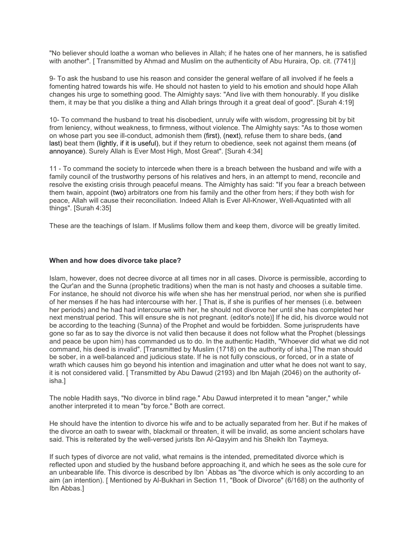"No believer should loathe a woman who believes in Allah; if he hates one of her manners, he is satisfied with another". [ Transmitted by Ahmad and Muslim on the authenticity of Abu Huraira, Op. cit. (7741)]

9- To ask the husband to use his reason and consider the general welfare of all involved if he feels a fomenting hatred towards his wife. He should not hasten to yield to his emotion and should hope Allah changes his urge to something good. The Almighty says: "And live with them honourably. If you dislike them, it may be that you dislike a thing and Allah brings through it a great deal of good". [Surah 4:19]

10- To command the husband to treat his disobedient, unruly wife with wisdom, progressing bit by bit from leniency, without weakness, to firmness, without violence. The Almighty says: "As to those women on whose part you see ill-conduct, admonish them (first), (next), refuse them to share beds, (and last) beat them (lightly, if it is useful), but if they return to obedience, seek not against them means (of annoyance). Surely Allah is Ever Most High, Most Great". [Surah 4:34]

11 - To command the society to intercede when there is a breach between the husband and wife with a family council of the trustworthy persons of his relatives and hers, in an attempt to mend, reconcile and resolve the existing crisis through peaceful means. The Almighty has said: "If you fear a breach between them twain, appoint (two) arbitrators one from his family and the other from hers; if they both wish for peace, Allah will cause their reconciliation. Indeed Allah is Ever All-Knower, Well-Aquatinted with all things". [Surah 4:35]

These are the teachings of Islam. If Muslims follow them and keep them, divorce will be greatly limited.

## **When and how does divorce take place?**

Islam, however, does not decree divorce at all times nor in all cases. Divorce is permissible, according to the Qur'an and the Sunna (prophetic traditions) when the man is not hasty and chooses a suitable time. For instance, he should not divorce his wife when she has her menstrual period, nor when she is purified of her menses if he has had intercourse with her. [ That is, if she is purifies of her menses (i.e. between her periods) and he had had intercourse with her, he should not divorce her until she has completed her next menstrual period. This will ensure she is not pregnant. (editor's note)] If he did, his divorce would not be according to the teaching (Sunna) of the Prophet and would be forbidden. Some jurisprudents have gone so far as to say the divorce is not valid then because it does not follow what the Prophet (blessings and peace be upon him) has commanded us to do. In the authentic Hadith, "Whoever did what we did not command, his deed is invalid". [Transmitted by Muslim (1718) on the authority of isha.] The man should be sober, in a well-balanced and judicious state. If he is not fully conscious, or forced, or in a state of wrath which causes him go beyond his intention and imagination and utter what he does not want to say, it is not considered valid. [ Transmitted by Abu Dawud (2193) and Ibn Majah (2046) on the authority ofisha.]

The noble Hadith says, "No divorce in blind rage." Abu Dawud interpreted it to mean "anger," while another interpreted it to mean "by force." Both are correct.

He should have the intention to divorce his wife and to be actually separated from her. But if he makes of the divorce an oath to swear with, blackmail or threaten, it will be invalid, as some ancient scholars have said. This is reiterated by the well-versed jurists Ibn Al-Qayyim and his Sheikh Ibn Taymeya.

If such types of divorce are not valid, what remains is the intended, premeditated divorce which is reflected upon and studied by the husband before approaching it, and which he sees as the sole cure for an unbearable life. This divorce is described by Ibn `Abbas as "the divorce which is only according to an aim (an intention). [ Mentioned by Al-Bukhari in Section 11, "Book of Divorce" (6/168) on the authority of Ibn Abbas.]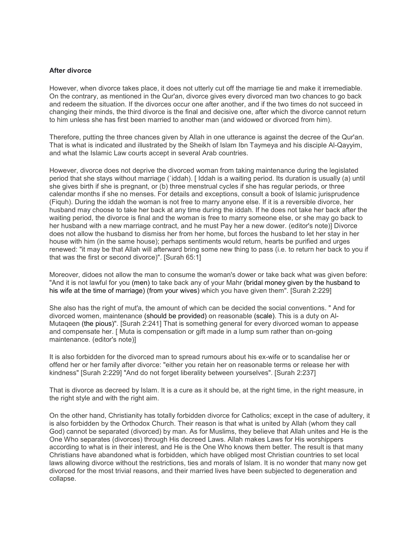#### **After divorce**

However, when divorce takes place, it does not utterly cut off the marriage tie and make it irremediable. On the contrary, as mentioned in the Qur'an, divorce gives every divorced man two chances to go back and redeem the situation. If the divorces occur one after another, and if the two times do not succeed in changing their minds, the third divorce is the final and decisive one, after which the divorce cannot return to him unless she has first been married to another man (and widowed or divorced from him).

Therefore, putting the three chances given by Allah in one utterance is against the decree of the Qur'an. That is what is indicated and illustrated by the Sheikh of Islam Ibn Taymeya and his disciple Al-Qayyim, and what the Islamic Law courts accept in several Arab countries.

However, divorce does not deprive the divorced woman from taking maintenance during the legislated period that she stays without marriage (`iddah). [ Iddah is a waiting period. Its duration is usually (a) until she gives birth if she is pregnant, or (b) three menstrual cycles if she has regular periods, or three calendar months if she no menses. For details and exceptions, consult a book of Islamic jurisprudence (Fiquh). During the iddah the woman is not free to marry anyone else. If it is a reversible divorce, her husband may choose to take her back at any time during the iddah. If he does not take her back after the waiting period, the divorce is final and the woman is free to marry someone else, or she may go back to her husband with a new marriage contract, and he must Pay her a new dower. (editor's note)] Divorce does not allow the husband to dismiss her from her home, but forces the husband to let her stay in her house with him (in the same house); perhaps sentiments would return, hearts be purified and urges renewed: "it may be that Allah will afterward bring some new thing to pass (i.e. to return her back to you if that was the first or second divorce)". [Surah 65:1]

Moreover, didoes not allow the man to consume the woman's dower or take back what was given before: "And it is not lawful for you (men) to take back any of your Mahr (bridal money given by the husband to his wife at the time of marriage) (from your wives) which you have given them". [Surah 2:229]

She also has the right of mut'a, the amount of which can be decided the social conventions. " And for divorced women, maintenance (should be provided) on reasonable (scale). This is a duty on Al-Mutaqeen (the pious)". [Surah 2:241] That is something general for every divorced woman to appease and compensate her. [ Muta is compensation or gift made in a lump sum rather than on-going maintenance. (editor's note)]

It is also forbidden for the divorced man to spread rumours about his ex-wife or to scandalise her or offend her or her family after divorce: "either you retain her on reasonable terms or release her with kindness" [Surah 2:229] "And do not forget liberality between yourselves". [Surah 2:237]

That is divorce as decreed by Islam. It is a cure as it should be, at the right time, in the right measure, in the right style and with the right aim.

On the other hand, Christianity has totally forbidden divorce for Catholics; except in the case of adultery, it is also forbidden by the Orthodox Church. Their reason is that what is united by Allah (whom they call God) cannot be separated (divorced) by man. As for Muslims, they believe that Allah unites and He is the One Who separates (divorces) through His decreed Laws. Allah makes Laws for His worshippers according to what is in their interest, and He is the One Who knows them better. The result is that many Christians have abandoned what is forbidden, which have obliged most Christian countries to set local laws allowing divorce without the restrictions, ties and morals of Islam. It is no wonder that many now get divorced for the most trivial reasons, and their married lives have been subjected to degeneration and collapse.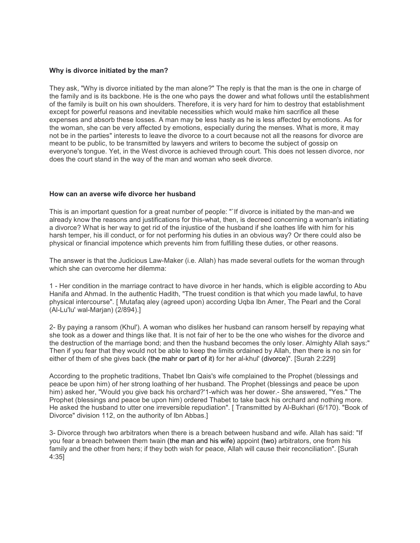## **Why is divorce initiated by the man?**

They ask, "Why is divorce initiated by the man alone?" The reply is that the man is the one in charge of the family and is its backbone. He is the one who pays the dower and what follows until the establishment of the family is built on his own shoulders. Therefore, it is very hard for him to destroy that establishment except for powerful reasons and inevitable necessities which would make him sacrifice all these expenses and absorb these losses. A man may be less hasty as he is less affected by emotions. As for the woman, she can be very affected by emotions, especially during the menses. What is more, it may not be in the parties" interests to leave the divorce to a court because not all the reasons for divorce are meant to be public, to be transmitted by lawyers and writers to become the subject of gossip on everyone's tongue. Yet, in the West divorce is achieved through court. This does not lessen divorce, nor does the court stand in the way of the man and woman who seek divorce.

#### **How can an averse wife divorce her husband**

This is an important question for a great number of people: "`If divorce is initiated by the man-and we already know the reasons and justifications for this-what, then, is decreed concerning a woman's initiating a divorce? What is her way to get rid of the injustice of the husband if she loathes life with him for his harsh temper, his ill conduct, or for not performing his duties in an obvious way? Or there could also be physical or financial impotence which prevents him from fulfilling these duties, or other reasons.

The answer is that the Judicious Law-Maker (i.e. Allah) has made several outlets for the woman through which she can overcome her dilemma:

1 - Her condition in the marriage contract to have divorce in her hands, which is eligible according to Abu Hanifa and Ahmad. In the authentic Hadith, "The truest condition is that which you made lawful, to have physical intercourse". [ Mutafaq aley (agreed upon) according Uqba Ibn Amer, The Pearl and the Coral (Al-Lu'lu' wal-Marjan) (2/894).]

2- By paying a ransom (Khul'). A woman who dislikes her husband can ransom herself by repaying what she took as a dower and things like that. It is not fair of her to be the one who wishes for the divorce and the destruction of the marriage bond; and then the husband becomes the only loser. Almighty Allah says:" Then if you fear that they would not be able to keep the limits ordained by Allah, then there is no sin for either of them of she gives back (the mahr or part of it) for her al-khul' (divorce)". [Surah 2:229]

According to the prophetic traditions, Thabet Ibn Qais's wife complained to the Prophet (blessings and peace be upon him) of her strong loathing of her husband. The Prophet (blessings and peace be upon him) asked her, "Would you give back his orchard?'1-which was her dower.- She answered, "Yes." The Prophet (blessings and peace be upon him) ordered Thabet to take back his orchard and nothing more. He asked the husband to utter one irreversible repudiation". [ Transmitted by Al-Bukhari (6/170). "Book of Divorce" division 112, on the authority of lbn Abbas.]

3- Divorce through two arbitrators when there is a breach between husband and wife. Allah has said: "If you fear a breach between them twain (the man and his wife) appoint (two) arbitrators, one from his family and the other from hers; if they both wish for peace, Allah will cause their reconciliation". [Surah 4:35]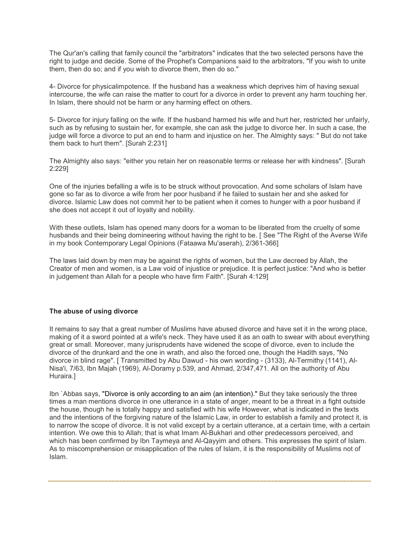The Qur'an's calling that family council the "arbitrators" indicates that the two selected persons have the right to judge and decide. Some of the Prophet's Companions said to the arbitrators, "If you wish to unite them, then do so; and if you wish to divorce them, then do so."

4- Divorce for physicalimpotence. If the husband has a weakness which deprives him of having sexual intercourse, the wife can raise the matter to court for a divorce in order to prevent any harm touching her. In Islam, there should not be harm or any harming effect on others.

5- Divorce for injury falling on the wife. If the husband harmed his wife and hurt her, restricted her unfairly, such as by refusing to sustain her, for example, she can ask the judge to divorce her. In such a case, the judge will force a divorce to put an end to harm and injustice on her. The Almighty says: " But do not take them back to hurt them". [Surah 2:231]

The Almighty also says: "either you retain her on reasonable terms or release her with kindness". [Surah 2:229]

One of the injuries befalling a wife is to be struck without provocation. And some scholars of Islam have gone so far as to divorce a wife from her poor husband if he failed to sustain her and she asked for divorce. Islamic Law does not commit her to be patient when it comes to hunger with a poor husband if she does not accept it out of loyalty and nobility.

With these outlets, Islam has opened many doors for a woman to be liberated from the cruelty of some husbands and their being domineering without having the right to be. [ See "The Right of the Averse Wife in my book Contemporary Legal Opinions (Fataawa Mu'aserah), 2/361-366]

The laws laid down by men may be against the rights of women, but the Law decreed by Allah, the Creator of men and women, is a Law void of injustice or prejudice. It is perfect justice: "And who is better in judgement than Allah for a people who have firm Faith". [Surah 4:129]

## **The abuse of using divorce**

It remains to say that a great number of Muslims have abused divorce and have set it in the wrong place, making of it a sword pointed at a wife's neck. They have used it as an oath to swear with about everything great or small. Moreover, many jurisprudents have widened the scope of divorce, even to include the divorce of the drunkard and the one in wrath, and also the forced one, though the Hadith says, "No divorce in blind rage". [ Transmitted by Abu Dawud - his own wording - (3133), Al-Termithy (1141), Al-Nisa'i, 7/63, Ibn Majah (1969), Al-Doramy p.539, and Ahmad, 2/347,471. All on the authority of Abu Huraira.]

Ibn `Abbas says, "Divorce is only according to an aim (an intention)." But they take seriously the three times a man mentions divorce in one utterance in a state of anger, meant to be a threat in a fight outside the house, though he is totally happy and satisfied with his wife However, what is indicated in the texts and the intentions of the forgiving nature of the Islamic Law, in order to establish a family and protect it, is to narrow the scope of divorce. It is not valid except by a certain utterance, at a certain time, with a certain intention. We owe this to Allah; that is what Imam Al-Bukhari and other predecessors perceived, and which has been confirmed by Ibn Taymeya and Al-Qayyim and others. This expresses the spirit of Islam. As to miscomprehension or misapplication of the rules of Islam, it is the responsibility of Muslims not of Islam.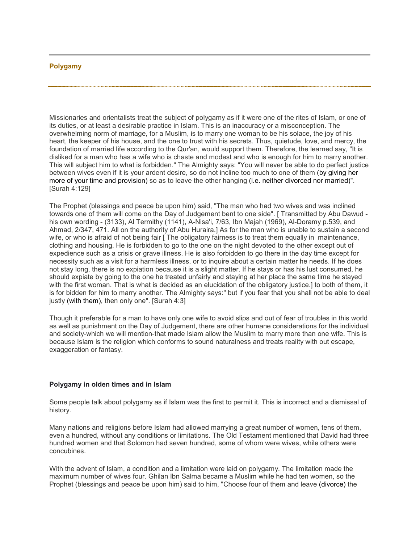## **Polygamy**

Missionaries and orientalists treat the subject of polygamy as if it were one of the rites of Islam, or one of its duties, or at least a desirable practice in Islam. This is an inaccuracy or a misconception. The overwhelming norm of marriage, for a Muslim, is to marry one woman to be his solace, the joy of his heart, the keeper of his house, and the one to trust with his secrets. Thus, quietude, love, and mercy, the foundation of married life according to the Qur'an, would support them. Therefore, the learned say, "It is disliked for a man who has a wife who is chaste and modest and who is enough for him to marry another. This will subject him to what is forbidden." The Almighty says: "You will never be able to do perfect justice between wives even if it is your ardent desire, so do not incline too much to one of them (by giving her more of your time and provision) so as to leave the other hanging (i.e. neither divorced nor married)". [Surah 4:129]

The Prophet (blessings and peace be upon him) said, "The man who had two wives and was inclined towards one of them will come on the Day of Judgement bent to one side". [ Transmitted by Abu Dawud his own wording - (3133), Al Termithy (1141), A-Nisa'i, 7/63, Ibn Majah (1969), Al-Doramy p.539, and Ahmad, 2/347, 471. All on the authority of Abu Huraira.] As for the man who is unable to sustain a second wife, or who is afraid of not being fair [ The obligatory fairness is to treat them equally in maintenance, clothing and housing. He is forbidden to go to the one on the night devoted to the other except out of expedience such as a crisis or grave illness. He is also forbidden to go there in the day time except for necessity such as a visit for a harmless illness, or to inquire about a certain matter he needs. If he does not stay long, there is no expiation because it is a slight matter. If he stays or has his lust consumed, he should expiate by going to the one he treated unfairly and staying at her place the same time he stayed with the first woman. That is what is decided as an elucidation of the obligatory justice.] to both of them, it is for bidden for him to marry another. The Almighty says:" but if you fear that you shall not be able to deal justly (with them), then only one". [Surah 4:3]

Though it preferable for a man to have only one wife to avoid slips and out of fear of troubles in this world as well as punishment on the Day of Judgement, there are other humane considerations for the individual and society-which we will mention-that made Islam allow the Muslim to marry more than one wife. This is because Islam is the religion which conforms to sound naturalness and treats reality with out escape, exaggeration or fantasy.

## **Polygamy in olden times and in Islam**

Some people talk about polygamy as if Islam was the first to permit it. This is incorrect and a dismissal of history.

Many nations and religions before Islam had allowed marrying a great number of women, tens of them, even a hundred, without any conditions or limitations. The Old Testament mentioned that David had three hundred women and that Solomon had seven hundred, some of whom were wives, while others were concubines.

With the advent of Islam, a condition and a limitation were laid on polygamy. The limitation made the maximum number of wives four. Ghilan Ibn Salma became a Muslim while he had ten women, so the Prophet (blessings and peace be upon him) said to him, "Choose four of them and leave (divorce) the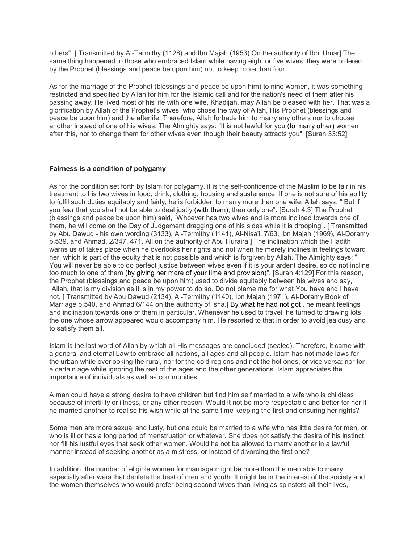others". [ Transmitted by Al-Termithy (1128) and Ibn Majah (1953) On the authority of Ibn 'Umar] The same thing happened to those who embraced Islam while having eight or five wives; they were ordered by the Prophet (blessings and peace be upon him) not to keep more than four.

As for the marriage of the Prophet (blessings and peace be upon him) to nine women, it was something restricted and specified by Allah for him for the Islamic call and for the nation's need of them after his passing away. He lived most of his life with one wife, Khadijah, may Allah be pleased with her. That was a glorification by Allah of the Prophet's wives, who chose the way of Allah, His Prophet (blessings and peace be upon him) and the afterlife. Therefore, Allah forbade him to marry any others nor to choose another instead of one of his wives. The Almighty says: "It is not lawful for you (to marry other) women after this, nor to change them for other wives even though their beauty attracts you". [Surah 33:52]

## **Fairness is a condition of polygamy**

As for the condition set forth by Islam for polygamy, it is the self-confidence of the Muslim to be fair in his treatment to his two wives in food, drink, clothing, housing and sustenance. If one is not sure of his ability to fulfil such duties equitably and fairly, he is forbidden to marry more than one wife. Allah says: " But if you fear that you shall not be able to deal justly (with them), then only one". [Surah 4:3] The Prophet (blessings and peace be upon him) said, "Whoever has two wives and is more inclined towards one of them, he will come on the Day of Judgement dragging one of his sides while it is drooping". [ Transmitted by Abu Dawud - his own wording (3133), Al-Termithy (1141), Al-Nisa'i, 7/63, Ibn Majah (1969), Al-Doramy p.539, and Ahmad, 2/347, 471. All on the authority of Abu Huraira.] The inclination which the Hadith warns us of takes place when he overlooks her rights and not when he merely inclines in feelings toward her, which is part of the equity that is not possible and which is forgiven by Allah. The Almighty says: " You will never be able to do perfect justice between wives even if it is your ardent desire, so do not incline too much to one of them (by giving her more of your time and provision)". [Surah 4:129] For this reason, the Prophet (blessings and peace be upon him) used to divide equitably between his wives and say, "Allah, that is my division as it is in my power to do so. Do not blame me for what You have and I have not. [ Transmitted by Abu Dawud (2134), Al-Termithy (1140), Ibn Majah (1971), Al-Doramy Book of Marriage p.540, and Ahmad 6/144 on the authority of isha.] By what he had not got , he meant feelings and inclination towards one of them in particular. Whenever he used to travel, he turned to drawing lots; the one whose arrow appeared would accompany him. He resorted to that in order to avoid jealousy and to satisfy them all.

Islam is the last word of Allah by which all His messages are concluded (sealed). Therefore, it came with a general and eternal Law to embrace all nations, all ages and all people. Islam has not made laws for the urban while overlooking the rural, nor for the cold regions and not the hot ones, or vice versa; nor for a certain age while ignoring the rest of the ages and the other generations. Islam appreciates the importance of individuals as well as communities.

A man could have a strong desire to have children but find him self married to a wife who is childless because of infertility or illness, or any other reason. Would it not be more respectable and better for her if he married another to realise his wish while at the same time keeping the first and ensuring her rights?

Some men are more sexual and lusty, but one could be married to a wife who has little desire for men, or who is ill or has a long period of menstruation or whatever. She does not satisfy the desire of his instinct nor fill his lustful eyes that seek other women. Would he not be allowed to marry another in a lawful manner instead of seeking another as a mistress, or instead of divorcing the first one?

In addition, the number of eligible women for marriage might be more than the men able to marry, especially after wars that deplete the best of men and youth. It might be in the interest of the society and the women themselves who would prefer being second wives than living as spinsters all their lives,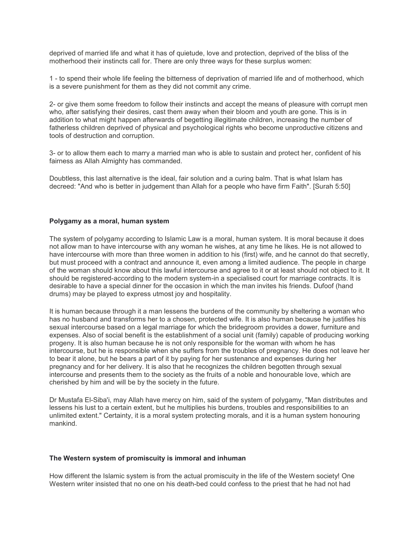deprived of married life and what it has of quietude, love and protection, deprived of the bliss of the motherhood their instincts call for. There are only three ways for these surplus women:

1 - to spend their whole life feeling the bitterness of deprivation of married life and of motherhood, which is a severe punishment for them as they did not commit any crime.

2- or give them some freedom to follow their instincts and accept the means of pleasure with corrupt men who, after satisfying their desires, cast them away when their bloom and youth are gone. This is in addition to what might happen afterwards of begetting illegitimate children, increasing the number of fatherless children deprived of physical and psychological rights who become unproductive citizens and tools of destruction and corruption.

3- or to allow them each to marry a married man who is able to sustain and protect her, confident of his fairness as Allah Almighty has commanded.

Doubtless, this last alternative is the ideal, fair solution and a curing balm. That is what Islam has decreed: "And who is better in judgement than Allah for a people who have firm Faith". [Surah 5:50]

#### **Polygamy as a moral, human system**

The system of polygamy according to Islamic Law is a moral, human system. It is moral because it does not allow man to have intercourse with any woman he wishes, at any time he likes. He is not allowed to have intercourse with more than three women in addition to his (first) wife, and he cannot do that secretly, but must proceed with a contract and announce it, even among a limited audience. The people in charge of the woman should know about this lawful intercourse and agree to it or at least should not object to it. It should be registered-according to the modern system-in a specialised court for marriage contracts. It is desirable to have a special dinner for the occasion in which the man invites his friends. Dufoof (hand drums) may be played to express utmost joy and hospitality.

It is human because through it a man lessens the burdens of the community by sheltering a woman who has no husband and transforms her to a chosen, protected wife. It is also human because he justifies his sexual intercourse based on a legal marriage for which the bridegroom provides a dower, furniture and expenses. Also of social benefit is the establishment of a social unit (family) capable of producing working progeny. It is also human because he is not only responsible for the woman with whom he has intercourse, but he is responsible when she suffers from the troubles of pregnancy. He does not leave her to bear it alone, but he bears a part of it by paying for her sustenance and expenses during her pregnancy and for her delivery. It is also that he recognizes the children begotten through sexual intercourse and presents them to the society as the fruits of a noble and honourable love, which are cherished by him and will be by the society in the future.

Dr Mustafa El-Siba'i, may Allah have mercy on him, said of the system of polygamy, "Man distributes and lessens his lust to a certain extent, but he multiplies his burdens, troubles and responsibilities to an unlimited extent." Certainty, it is a moral system protecting morals, and it is a human system honouring mankind.

#### **The Western system of promiscuity is immoral and inhuman**

How different the Islamic system is from the actual promiscuity in the life of the Western society! One Western writer insisted that no one on his death-bed could confess to the priest that he had not had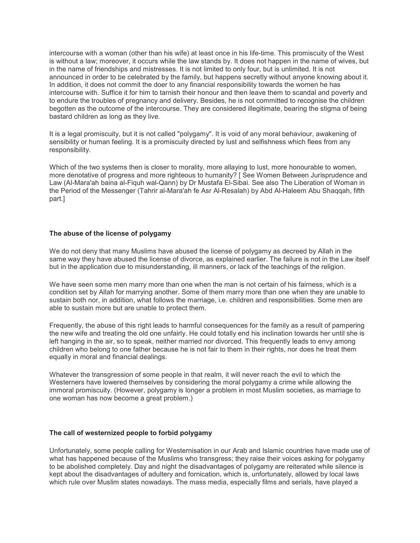intercourse with a woman (other than his wife) at least once in his life-time. This promiscuity of the West is without a law; moreover, it occurs while the law stands by. It does not happen in the name of wives, but in the name of friendships and mistresses. It is not limited to only four, but is unlimited. It is not announced in order to be celebrated by the family, but happens secretly without anyone knowing about it. In addition, it does not commit the doer to any financial responsibility towards the women he has intercourse with. Suffice it for him to tarnish their honour and then leave them to scandal and poverty and to endure the troubles of pregnancy and delivery. Besides, he is not committed to recognise the children begotten as the outcome of the intercourse. They are considered illegitimate, bearing the stigma of being bastard children as long as they live.

It is a legal promiscuity, but it is not called "polygamy". It is void of any moral behaviour, awakening of sensibility or human feeling. It is a promiscuity directed by lust and selfishness which flees from any responsibility.

Which of the two systems then is closer to morality, more allaying to lust, more honourable to women, more denotative of progress and more righteous to humanity? [ See Women Between Jurisprudence and Law (Al-Mara'ah baina al-Fiquh wal-Qann) by Dr Mustafa El-Sibai. See also The Liberation of Woman in the Period of the Messenger (Tahrir al-Mara'ah fe Asr Al-Resalah) by Abd Al-Haleem Abu Shaqqah, fifth part.]

## **The abuse of the license of polygamy**

We do not deny that many Muslims have abused the license of polygamy as decreed by Allah in the same way they have abused the license of divorce, as explained earlier. The failure is not in the Law itself but in the application due to misunderstanding, ill manners, or lack of the teachings of the religion.

We have seen some men marry more than one when the man is not certain of his fairness, which is a condition set by Allah for marrying another. Some of them marry more than one when they are unable to sustain both nor, in addition, what follows the marriage, i.e. children and responsibilities. Some men are able to sustain more but are unable to protect them.

Frequently, the abuse of this right leads to harmful consequences for the family as a result of pampering the new wife and treating the old one unfairly. He could totally end his inclination towards her until she is left hanging in the air, so to speak, neither married nor divorced. This frequently leads to envy among children who belong to one father because he is not fair to them in their rights, nor does he treat them equally in moral and financial dealings.

Whatever the transgression of some people in that realm, it will never reach the evil to which the Westerners have lowered themselves by considering the moral polygamy a crime while allowing the immoral promiscuity. (However, polygamy is longer a problem in most Muslim societies, as marriage to one woman has now become a great problem.)

## **The call of westernized people to forbid polygamy**

Unfortunately, some people calling for Westernisation in our Arab and Islamic countries have made use of what has happened because of the Muslims who transgress; they raise their voices asking for polygamy to be abolished completely. Day and night the disadvantages of polygamy are reiterated while silence is kept about the disadvantages of adultery and fornication, which is, unfortunately, allowed by local laws which rule over Muslim states nowadays. The mass media, especially films and serials, have played a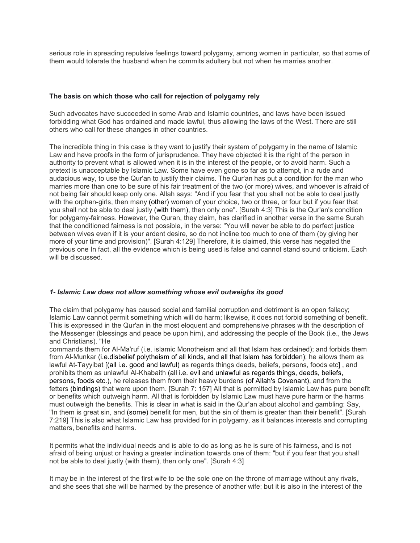serious role in spreading repulsive feelings toward polygamy, among women in particular, so that some of them would tolerate the husband when he commits adultery but not when he marries another.

## **The basis on which those who call for rejection of polygamy rely**

Such advocates have succeeded in some Arab and Islamic countries, and laws have been issued forbidding what God has ordained and made lawful, thus allowing the laws of the West. There are still others who call for these changes in other countries.

The incredible thing in this case is they want to justify their system of polygamy in the name of Islamic Law and have proofs in the form of jurisprudence. They have objected it is the right of the person in authority to prevent what is allowed when it is in the interest of the people, or to avoid harm. Such a pretext is unacceptable by Islamic Law. Some have even gone so far as to attempt, in a rude and audacious way, to use the Qur'an to justify their claims. The Qur'an has put a condition for the man who marries more than one to be sure of his fair treatment of the two (or more) wives, and whoever is afraid of not being fair should keep only one. Allah says: "And if you fear that you shall not be able to deal justly with the orphan-girls, then many (other) women of your choice, two or three, or four but if you fear that you shall not be able to deal justly (with them), then only one". [Surah 4:3] This is the Qur'an's condition for polygamy-fairness. However, the Quran, they claim, has clarified in another verse in the same Surah that the conditioned fairness is not possible, in the verse: "You will never be able to do perfect justice between wives even if it is your ardent desire, so do not incline too much to one of them (by giving her more of your time and provision)". [Surah 4:129] Therefore, it is claimed, this verse has negated the previous one In fact, all the evidence which is being used is false and cannot stand sound criticism. Each will be discussed.

## *1- Islamic Law does not allow something whose evil outweighs its good*

The claim that polygamy has caused social and familial corruption and detriment is an open fallacy; Islamic Law cannot permit something which will do harm; likewise, it does not forbid something of benefit. This is expressed in the Qur'an in the most eloquent and comprehensive phrases with the description of the Messenger (blessings and peace be upon him), and addressing the people of the Book (i.e., the Jews and Christians). "He

commands them for Al-Ma'ruf (i.e. islamic Monotheism and all that Islam has ordained); and forbids them from Al-Munkar (i.e.disbelief polytheism of all kinds, and all that Islam has forbidden); he allows them as lawful At-Tayyibat [(all i.e. good and lawful) as regards things deeds, beliefs, persons, foods etc] , and prohibits them as unlawful Al-Khabaith (all i.e. evil and unlawful as regards things, deeds, beliefs, persons, foods etc.), he releases them from their heavy burdens (of Allah's Covenant), and from the fetters (bindings) that were upon them. [Surah 7: 157] All that is permitted by Islamic Law has pure benefit or benefits which outweigh harm. All that is forbidden by Islamic Law must have pure harm or the harms must outweigh the benefits. This is clear in what is said in the Qur'an about alcohol and gambling: Say, "In them is great sin, and (some) benefit for men, but the sin of them is greater than their benefit". [Surah 7:219] This is also what Islamic Law has provided for in polygamy, as it balances interests and corrupting matters, benefits and harms.

It permits what the individual needs and is able to do as long as he is sure of his fairness, and is not afraid of being unjust or having a greater inclination towards one of them: "but if you fear that you shall not be able to deal justly (with them), then only one". [Surah 4:3]

It may be in the interest of the first wife to be the sole one on the throne of marriage without any rivals, and she sees that she will be harmed by the presence of another wife; but it is also in the interest of the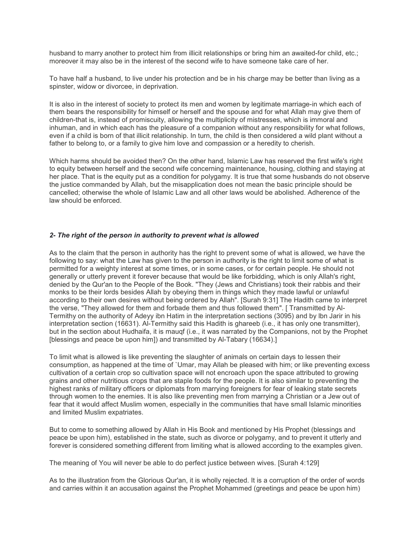husband to marry another to protect him from illicit relationships or bring him an awaited-for child, etc.; moreover it may also be in the interest of the second wife to have someone take care of her.

To have half a husband, to live under his protection and be in his charge may be better than living as a spinster, widow or divorcee, in deprivation.

It is also in the interest of society to protect its men and women by legitimate marriage-in which each of them bears the responsibility for himself or herself and the spouse and for what Allah may give them of children-that is, instead of promiscuity, allowing the multiplicity of mistresses, which is immoral and inhuman, and in which each has the pleasure of a companion without any responsibility for what follows, even if a child is born of that illicit relationship. In turn, the child is then considered a wild plant without a father to belong to, or a family to give him love and compassion or a heredity to cherish.

Which harms should be avoided then? On the other hand, Islamic Law has reserved the first wife's right to equity between herself and the second wife concerning maintenance, housing, clothing and staying at her place. That is the equity put as a condition for polygamy. It is true that some husbands do not observe the justice commanded by Allah, but the misapplication does not mean the basic principle should be cancelled; otherwise the whole of Islamic Law and all other laws would be abolished. Adherence of the law should be enforced.

## *2- The right of the person in authority to prevent what is allowed*

As to the claim that the person in authority has the right to prevent some of what is allowed, we have the following to say: what the Law has given to the person in authority is the right to limit some of what is permitted for a weighty interest at some times, or in some cases, or for certain people. He should not generally or utterly prevent it forever because that would be like forbidding, which is only Allah's right, denied by the Qur'an to the People of the Book. "They (Jews and Christians) took their rabbis and their monks to be their lords besides Allah by obeying them in things which they made lawful or unlawful according to their own desires without being ordered by Allah". [Surah 9:31] The Hadith came to interpret the verse, "They allowed for them and forbade them and thus followed them". [ Transmitted by Al-Termithy on the authority of Adeyy ibn Hatim in the interpretation sections (3095) and by lbn Jarir in his interpretation section (16631). Al-Termithy said this Hadith is ghareeb (i.e., it has only one transmitter), but in the section about Hudhaifa, it is mauqf (i.e., it was narrated by the Companions, not by the Prophet [blessings and peace be upon him]) and transmitted by Al-Tabary (16634).]

To limit what is allowed is like preventing the slaughter of animals on certain days to lessen their consumption, as happened at the time of `Umar, may Allah be pleased with him; or like preventing excess cultivation of a certain crop so cultivation space will not encroach upon the space attributed to growing grains and other nutritious crops that are staple foods for the people. It is also similar to preventing the highest ranks of military officers or diplomats from marrying foreigners for fear of leaking state secrets through women to the enemies. It is also like preventing men from marrying a Christian or a Jew out of fear that it would affect Muslim women, especially in the communities that have small Islamic minorities and limited Muslim expatriates.

But to come to something allowed by Allah in His Book and mentioned by His Prophet (blessings and peace be upon him), established in the state, such as divorce or polygamy, and to prevent it utterly and forever is considered something different from limiting what is allowed according to the examples given.

The meaning of You will never be able to do perfect justice between wives. [Surah 4:129]

As to the illustration from the Glorious Qur'an, it is wholly rejected. It is a corruption of the order of words and carries within it an accusation against the Prophet Mohammed (greetings and peace be upon him)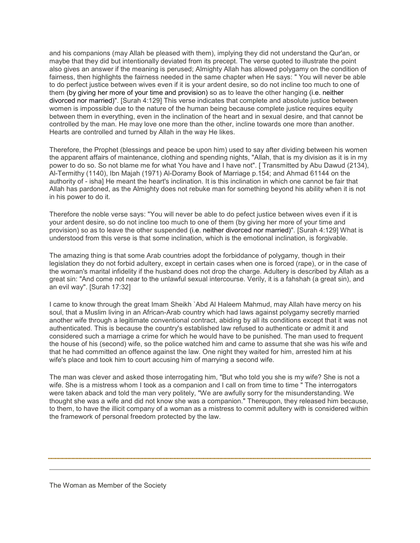and his companions (may Allah be pleased with them), implying they did not understand the Qur'an, or maybe that they did but intentionally deviated from its precept. The verse quoted to illustrate the point also gives an answer if the meaning is perused; Almighty Allah has allowed polygamy on the condition of fairness, then highlights the fairness needed in the same chapter when He says: " You will never be able to do perfect justice between wives even if it is your ardent desire, so do not incline too much to one of them (by giving her more of your time and provision) so as to leave the other hanging (i.e. neither divorced nor married)". [Surah 4:129] This verse indicates that complete and absolute justice between women is impossible due to the nature of the human being because complete justice requires equity between them in everything, even in the inclination of the heart and in sexual desire, and that cannot be controlled by the man. He may love one more than the other, incline towards one more than another. Hearts are controlled and turned by Allah in the way He likes.

Therefore, the Prophet (blessings and peace be upon him) used to say after dividing between his women the apparent affairs of maintenance, clothing and spending nights, "Allah, that is my division as it is in my power to do so. So not blame me for what You have and I have not". [ Transmitted by Abu Dawud (2134), Al-Termithy (1140), Ibn Majah (1971) Al-Doramy Book of Marriage p.154; and Ahmad 61144 on the authority of - isha] He meant the heart's inclination. It is this inclination in which one cannot be fair that Allah has pardoned, as the Almighty does not rebuke man for something beyond his ability when it is not in his power to do it.

Therefore the noble verse says: "You will never be able to do pefect justice between wives even if it is your ardent desire, so do not incline too much to one of them (by giving her more of your time and provision) so as to leave the other suspended (i.e. neither divorced nor married)". [Surah 4:129] What is understood from this verse is that some inclination, which is the emotional inclination, is forgivable.

The amazing thing is that some Arab countries adopt the forbiddance of polygamy, though in their legislation they do not forbid adultery, except in certain cases when one is forced (rape), or in the case of the woman's marital infidelity if the husband does not drop the charge. Adultery is described by Allah as a great sin: "And come not near to the unlawful sexual intercourse. Verily, it is a fahshah (a great sin), and an evil way". [Surah 17:32]

I came to know through the great Imam Sheikh `Abd Al Haleem Mahmud, may Allah have mercy on his soul, that a Muslim living in an African-Arab country which had laws against polygamy secretly married another wife through a legitimate conventional contract, abiding by all its conditions except that it was not authenticated. This is because the country's established law refused to authenticate or admit it and considered such a marriage a crime for which he would have to be punished. The man used to frequent the house of his (second) wife, so the police watched him and came to assume that she was his wife and that he had committed an offence against the law. One night they waited for him, arrested him at his wife's place and took him to court accusing him of marrying a second wife.

The man was clever and asked those interrogating him, "But who told you she is my wife? She is not a wife. She is a mistress whom I took as a companion and I call on from time to time " The interrogators were taken aback and told the man very politely, "We are awfully sorry for the misunderstanding. We thought she was a wife and did not know she was a companion." Thereupon, they released him because, to them, to have the illicit company of a woman as a mistress to commit adultery with is considered within the framework of personal freedom protected by the law.

The Woman as Member of the Society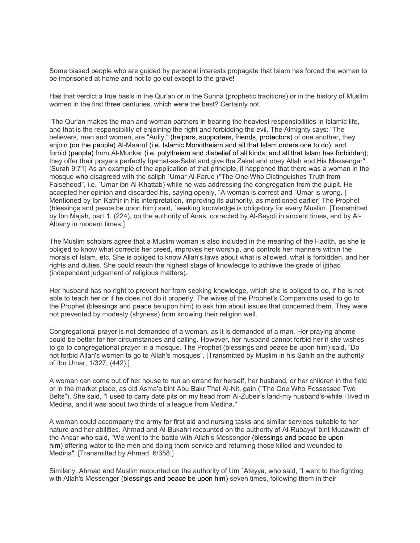Some biased people who are guided by personal interests propagate that Islam has forced the woman to be imprisoned at home and not to go out except to the grave!

Has that verdict a true basis in the Qur'an or in the Sunna (prophetic traditions) or in the history of Muslim women in the first three centuries, which were the best? Certainly not.

 The Qur'an makes the man and woman partners in bearing the heaviest responsibilities in Islamic life, and that is the responsibility of enjoining the right and forbidding the evil. The Almighty says: "The believers, men and women, are "Auliy," (helpers, supporters, friends, protectors) of one another, they enjoin (on the people) Al-Maaruf (i.e. Islamic Monotheism and all that Islam orders one to do), and forbid (people) from Al-Munkar (i.e. polytheism and disbelief of all kinds, and all that Islam has forbidden); they offer their prayers perfectly Iqamat-as-Salat and give the Zakat and obey Allah and His Messenger". [Surah 9:71] As an example of the application of that principle, it happened that there was a woman in the mosque who disagreed with the caliph `Umar Al-Faruq ("The One Who Distinguishes Truth from Falsehood", i.e. `Umar ibn Al-Khattab) while he was addressing the congregation from the pulpit. He accepted her opinion and discarded his, saying openly, "A woman is correct and `Umar is wrong. [ Mentioned by Ibn Kathir in his interpretation, improving its authority, as mentioned earlier] The Prophet (blessings and peace be upon him) said, `seeking knowledge is obligatory for every Muslim. [Transmitted by Ibn Majah, part 1, (224), on the authority of Anas, corrected by Al-Seyoti in ancient times, and by Al-Albany in modern times.]

The Muslim scholars agree that a Muslim woman is also included in the meaning of the Hadith, as she is obliged to know what corrects her creed, improves her worship, and controls her manners within the morals of Islam, etc. She is obliged to know Allah's laws about what is allowed, what is forbidden, and her rights and duties. She could reach the highest stage of knowledge to achieve the grade of ijtihad (independent judgement of religious matters).

Her husband has no right to prevent her from seeking knowledge, which she is obliged to do, if he is not able to teach her or if he does not do it properly. The wives of the Prophet's Companions used to go to the Prophet (blessings and peace be upon him) to ask him about issues that concerned them. They were not prevented by modesty (shyness) from knowing their religion well.

Congregational prayer is not demanded of a woman, as it is demanded of a man. Her praying ahome could be better for her circumstances and calling. However, her husband cannot forbid her if she wishes to go to congregational prayer in a mosque. The Prophet (blessings and peace be upon him) said, "Do not forbid Allah's women to go to Allah's mosques". [Transmitted by Muslim in his Sahih on the authority of Ibn Umar, 1/327, (442).]

A woman can come out of her house to run an errand for herself, her husband, or her children in the field or in the market place, as did Asma'a bint Abu Bakr That Al-Nit, gain ("The One Who Possessed Two Belts"). She said, "I used to carry date pits on my head from Al-Zubeir's land-my husband's-while I lived in Medina, and it was about two thirds of a league from Medina."

A woman could accompany the army for first aid and nursing tasks and similar services suitable to her nature and her abilities. Ahmad and Al-Bukahri recounted on the authority of Al-Rubayyi' bint Muaawith of the Ansar who said, "We went to the battle with Allah's Messenger (blessings and peace be upon him) offering water to the men and doing them service and returning those killed and wounded to Medina". [Transmitted by Ahmad, 6/358.]

Similarly, Ahmad and Muslim recounted on the authority of Um `Ateyya, who said, "I went to the fighting with Allah's Messenger (blessings and peace be upon him) seven times, following them in their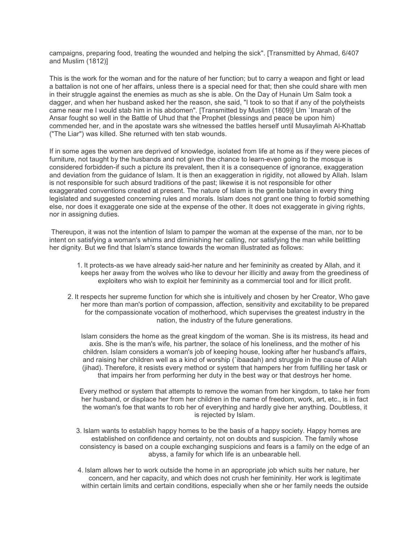campaigns, preparing food, treating the wounded and helping the sick". [Transmitted by Ahmad, 6/407 and Muslim (1812)]

This is the work for the woman and for the nature of her function; but to carry a weapon and fight or lead a battalion is not one of her affairs, unless there is a special need for that; then she could share with men in their struggle against the enemies as much as she is able. On the Day of Hunain Um Salm took a dagger, and when her husband asked her the reason, she said, "I took to so that if any of the polytheists came near me I would stab him in his abdomen". [Transmitted by Muslim (1809)] Um `Imarah of the Ansar fought so well in the Battle of Uhud that the Prophet (blessings and peace be upon him) commended her, and in the apostate wars she witnessed the battles herself until Musaylimah Al-Khattab ("The Liar") was killed. She returned with ten stab wounds.

If in some ages the women are deprived of knowledge, isolated from life at home as if they were pieces of furniture, not taught by the husbands and not given the chance to learn-even going to the mosque is considered forbidden-if such a picture its prevalent, then it is a consequence of ignorance, exaggeration and deviation from the guidance of Islam. It is then an exaggeration in rigidity, not allowed by Allah. Islam is not responsible for such absurd traditions of the past; likewise it is not responsible for other exaggerated conventions created at present. The nature of Islam is the gentle balance in every thing legislated and suggested concerning rules and morals. Islam does not grant one thing to forbid something else, nor does it exaggerate one side at the expense of the other. It does not exaggerate in giving rights, nor in assigning duties.

 Thereupon, it was not the intention of Islam to pamper the woman at the expense of the man, nor to be intent on satisfying a woman's whims and diminishing her calling, nor satisfying the man while belittling her dignity. But we find that Islam's stance towards the woman illustrated as follows:

- 1. It protects-as we have already said-her nature and her femininity as created by Allah, and it keeps her away from the wolves who like to devour her illicitly and away from the greediness of exploiters who wish to exploit her femininity as a commercial tool and for illicit profit.
- 2. It respects her supreme function for which she is intuitively and chosen by her Creator, Who gave her more than man's portion of compassion, affection, sensitivity and excitability to be prepared for the compassionate vocation of motherhood, which supervises the greatest industry in the nation, the industry of the future generations.

Islam considers the home as the great kingdom of the woman. She is its mistress, its head and axis. She is the man's wife, his partner, the solace of his loneliness, and the mother of his children. Islam considers a woman's job of keeping house, looking after her husband's affairs, and raising her children well as a kind of worship (`ibaadah) and struggle in the cause of Allah (jihad). Therefore, it resists every method or system that hampers her from fulfilling her task or that impairs her from performing her duty in the best way or that destroys her home.

Every method or system that attempts to remove the woman from her kingdom, to take her from her husband, or displace her from her children in the name of freedom, work, art, etc., is in fact the woman's foe that wants to rob her of everything and hardly give her anything. Doubtless, it is rejected by Islam.

- 3. Islam wants to establish happy homes to be the basis of a happy society. Happy homes are established on confidence and certainty, not on doubts and suspicion. The family whose consistency is based on a couple exchanging suspicions and fears is a family on the edge of an abyss, a family for which life is an unbearable hell.
- 4. Islam allows her to work outside the home in an appropriate job which suits her nature, her concern, and her capacity, and which does not crush her femininity. Her work is legitimate within certain limits and certain conditions, especially when she or her family needs the outside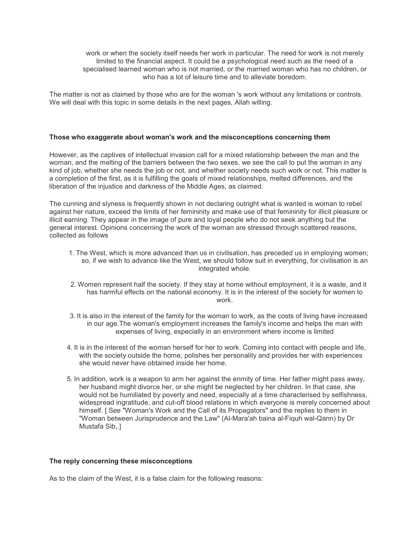work or when the society itself needs her work in particular. The need for work is not merely limited to the financial aspect. It could be a psychological need such as the need of a specialised learned woman who is not married, or the married woman who has no children, or who has a lot of leisure time and to alleviate boredom.

The matter is not as claimed by those who are for the woman 's work without any limitations or controls. We will deal with this topic in some details in the next pages, Allah willing.

## **Those who exaggerate about woman's work and the misconceptions concerning them**

However, as the captives of intellectual invasion call for a mixed relationship between the man and the woman, and the melting of the barriers between the two sexes, we see the call to put the woman in any kind of job, whether she needs the job or not, and whether society needs such work or not. This matter is a completion of the first, as it is fulfilling the goals of mixed relationships, melted differences, and the liberation of the injustice and darkness of the Middle Ages, as claimed.

The cunning and slyness is frequently shown in not declaring outright what is wanted is woman to rebel against her nature, exceed the limits of her femininity and make use of that femininity for illicit pleasure or illicit earning. They appear in the image of pure and loyal people who do not seek anything but the general interest. Opinions concerning the work of the woman are stressed through scattered reasons, collected as follows

- 1. The West, which is more advanced than us in civilisation, has preceded us in employing women; so, if we wish to advance like the West, we should follow suit in everything, for civilisation is an integrated whole.
- 2. Women represent half the society. If they stay at home without employment, it is a waste, and it has harmful effects on the national economy. It is in the interest of the society for women to work.
- 3. It is also in the interest of the family for the woman to work, as the costs of living have increased in our age.The woman's employment increases the family's income and helps the man with expenses of living, especially in an environment where income is limited
- 4. It is in the interest of the woman herself for her to work. Coming into contact with people and life, with the society outside the home, polishes her personality and provides her with experiences she would never have obtained inside her home.
- 5. In addition, work is a weapon to arm her against the enmity of time. Her father might pass away, her husband might divorce her, or she might be neglected by her children. In that case, she would not be humiliated by poverty and need, especially at a time characterised by selfishness, widespread ingratitude, and cut-off blood relations in which everyone is merely concerned about himself. [ See "Woman's Work and the Call of its Propagators" and the replies to them in "Woman between Jurisprudence and the Law" (Al-Mara'ah baina al-Fiquh wal-Qann) by Dr Mustafa Sib,.]

#### **The reply concerning these misconceptions**

As to the claim of the West, it is a false claim for the following reasons: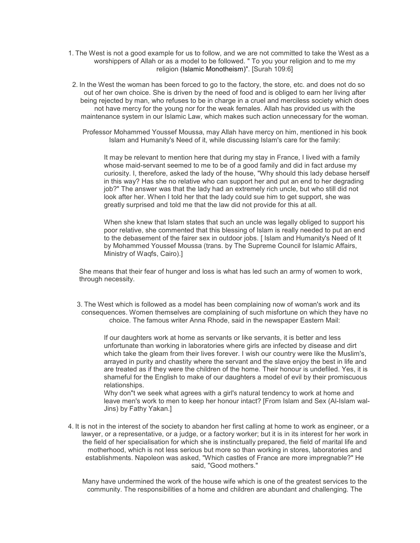1. The West is not a good example for us to follow, and we are not committed to take the West as a worshippers of Allah or as a model to be followed. " To you your religion and to me my religion (Islamic Monotheism)". [Surah 109:6]

2. In the West the woman has been forced to go to the factory, the store, etc. and does not do so out of her own choice. She is driven by the need of food and is obliged to earn her living after being rejected by man, who refuses to be in charge in a cruel and merciless society which does not have mercy for the young nor for the weak females. Allah has provided us with the maintenance system in our Islamic Law, which makes such action unnecessary for the woman.

Professor Mohammed Youssef Moussa, may Allah have mercy on him, mentioned in his book Islam and Humanity's Need of it, while discussing Islam's care for the family:

It may be relevant to mention here that during my stay in France, I lived with a family whose maid-servant seemed to me to be of a good family and did in fact arduse my curiosity. I, therefore, asked the lady of the house, "Why should this lady debase herself in this way? Has she no relative who can support her and put an end to her degrading job?" The answer was that the lady had an extremely rich uncle, but who still did not look after her. When I told her that the lady could sue him to get support, she was greatly surprised and told me that the law did not provide for this at all.

When she knew that Islam states that such an uncle was legally obliged to support his poor relative, she commented that this blessing of Islam is really needed to put an end to the debasement of the fairer sex in outdoor jobs. [ Islam and Humanity's Need of It by Mohammed Youssef Moussa (trans. by The Supreme Council for Islamic Affairs, Ministry of Waqfs, Cairo).]

She means that their fear of hunger and loss is what has led such an army of women to work, through necessity.

3. The West which is followed as a model has been complaining now of woman's work and its consequences. Women themselves are complaining of such misfortune on which they have no choice. The famous writer Anna Rhode, said in the newspaper Eastern Mail:

If our daughters work at home as servants or like servants, it is better and less unfortunate than working in laboratories where girls are infected by disease and dirt which take the gleam from their lives forever. I wish our country were like the Muslim's, arrayed in purity and chastity where the servant and the slave enjoy the best in life and are treated as if they were the children of the home. Their honour is undefiled. Yes, it is shameful for the English to make of our daughters a model of evil by their promiscuous relationships.

Why don"t we seek what agrees with a girl's natural tendency to work at home and leave men's work to men to keep her honour intact? [From Islam and Sex (Al-Islam wal-Jins) by Fathy Yakan.]

4. It is not in the interest of the society to abandon her first calling at home to work as engineer, or a lawyer, or a representative, or a judge, or a factory worker; but it is in its interest for her work in the field of her specialisation for which she is instinctually prepared, the field of marital life and motherhood, which is not less serious but more so than working in stores, laboratories and establishments. Napoleon was asked, "Which castles of France are more impregnable?" He said, "Good mothers."

Many have undermined the work of the house wife which is one of the greatest services to the community. The responsibilities of a home and children are abundant and challenging. The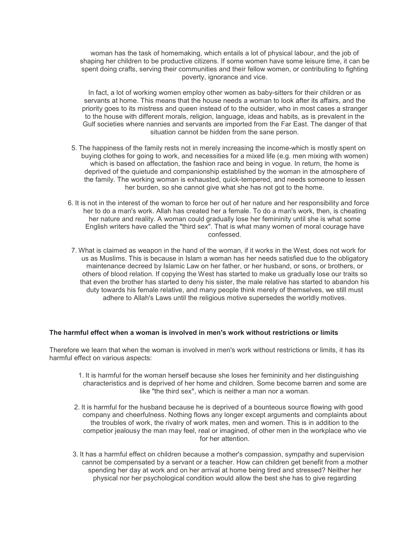woman has the task of homemaking, which entails a lot of physical labour, and the job of shaping her children to be productive citizens. If some women have some leisure time, it can be spent doing crafts, serving their communities and their fellow women, or contributing to fighting poverty, ignorance and vice.

In fact, a lot of working women employ other women as baby-sitters for their children or as servants at home. This means that the house needs a woman to look after its affairs, and the priority goes to its mistress and queen instead of to the outsider, who in most cases a stranger to the house with different morals, religion, language, ideas and habits, as is prevalent in the Gulf societies where nannies and servants are imported from the Far East. The danger of that situation cannot be hidden from the sane person.

- 5. The happiness of the family rests not in merely increasing the income-which is mostly spent on buying clothes for going to work, and necessities for a mixed life (e.g. men mixing with women) which is based on affectation, the fashion race and being in vogue. In return, the home is deprived of the quietude and companionship established by the woman in the atmosphere of the family. The working woman is exhausted, quick-tempered, and needs someone to lessen her burden, so she cannot give what she has not got to the home.
- 6. It is not in the interest of the woman to force her out of her nature and her responsibility and force her to do a man's work. Allah has created her a female. To do a man's work, then, is cheating her nature and reality. A woman could gradually lose her femininity until she is what some English writers have called the "third sex". That is what many women of moral courage have confessed.
	- 7. What is claimed as weapon in the hand of the woman, if it works in the West, does not work for us as Muslims. This is because in Islam a woman has her needs satisfied due to the obligatory maintenance decreed by Islamic Law on her father, or her husband, or sons, or brothers, or others of blood relation. If copying the West has started to make us gradually lose our traits so that even the brother has started to deny his sister, the male relative has started to abandon his duty towards his female relative, and many people think merely of themselves, we still must adhere to Allah's Laws until the religious motive supersedes the worldly motives.

#### **The harmful effect when a woman is involved in men's work without restrictions or limits**

Therefore we learn that when the woman is involved in men's work without restrictions or limits, it has its harmful effect on various aspects:

- 1. It is harmful for the woman herself because she loses her femininity and her distinguishing characteristics and is deprived of her home and children. Some become barren and some are like "the third sex", which is neither a man nor a woman.
- 2. It is harmful for the husband because he is deprived of a bounteous source flowing with good company and cheerfulness. Nothing flows any longer except arguments and complaints about the troubles of work, the rivalry of work mates, men and women. This is in addition to the competior jealousy the man may feel, real or imagined, of other men in the workplace who vie for her attention.
- 3. It has a harmful effect on children because a mother's compassion, sympathy and supervision cannot be compensated by a servant or a teacher. How can children get benefit from a mother spending her day at work and on her arrival at home being tired and stressed? Neither her physical nor her psychological condition would allow the best she has to give regarding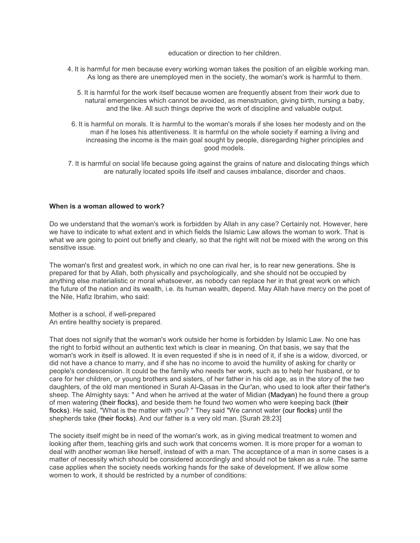education or direction to her children.

- 4. It is harmful for men because every working woman takes the position of an eligible working man. As long as there are unemployed men in the society, the woman's work is harmful to them.
	- 5. It is harmful for the work itself because women are frequently absent from their work due to natural emergencies which cannot be avoided, as menstruation, giving birth, nursing a baby, and the like. All such things deprive the work of discipline and valuable output.
	- 6. It is harmful on morals. It is harmful to the woman's morals if she loses her modesty and on the man if he loses his attentiveness. It is harmful on the whole society if earning a living and increasing the income is the main goal sought by people, disregarding higher principles and good models.
- 7. It is harmful on social life because going against the grains of nature and dislocating things which are naturally located spoils life itself and causes imbalance, disorder and chaos.

## **When is a woman allowed to work?**

Do we understand that the woman's work is forbidden by Allah in any case? Certainly not. However, here we have to indicate to what extent and in which fields the Islamic Law allows the woman to work. That is what we are going to point out briefly and clearly, so that the right wilt not be mixed with the wrong on this sensitive issue.

The woman's first and greatest work, in which no one can rival her, is to rear new generations. She is prepared for that by Allah, both physically and psychologically, and she should not be occupied by anything else materialistic or moral whatsoever, as nobody can replace her in that great work on which the future of the nation and its wealth, i.e. its human wealth, depend. May Allah have mercy on the poet of the Nile, Hafiz Ibrahim, who said:

Mother is a school, if well-prepared An entire healthy society is prepared.

That does not signify that the woman's work outside her home is forbidden by Islamic Law. No one has the right to forbid without an authentic text which is clear in meaning. On that basis, we say that the woman's work in itself is allowed. It is even requested if she is in need of it, if she is a widow, divorced, or did not have a chance to marry, and if she has no income to avoid the humility of asking for charity or people's condescension. It could be the family who needs her work, such as to help her husband, or to care for her children, or young brothers and sisters, of her father in his old age, as in the story of the two daughters, of the old man mentioned in Surah Al-Qasas in the Qur'an, who used to look after their father's sheep. The Almighty says: " And when he arrived at the water of Midian (Madyan) he found there a group of men watering (their flocks), and beside them he found two women who were keeping back (their flocks). He said, "What is the matter with you? " They said "We cannot water (our flocks) until the shepherds take (their flocks). And our father is a very old man. [Surah 28:23]

The society itself might be in need of the woman's work, as in giving medical treatment to women and looking after them, teaching girls and such work that concerns women. It is more proper for a woman to deal with another woman like herself, instead of with a man. The acceptance of a man in some cases is a matter of necessity which should be considered accordingly and should not be taken as a rule. The same case applies when the society needs working hands for the sake of development. If we allow some women to work, it should be restricted by a number of conditions: